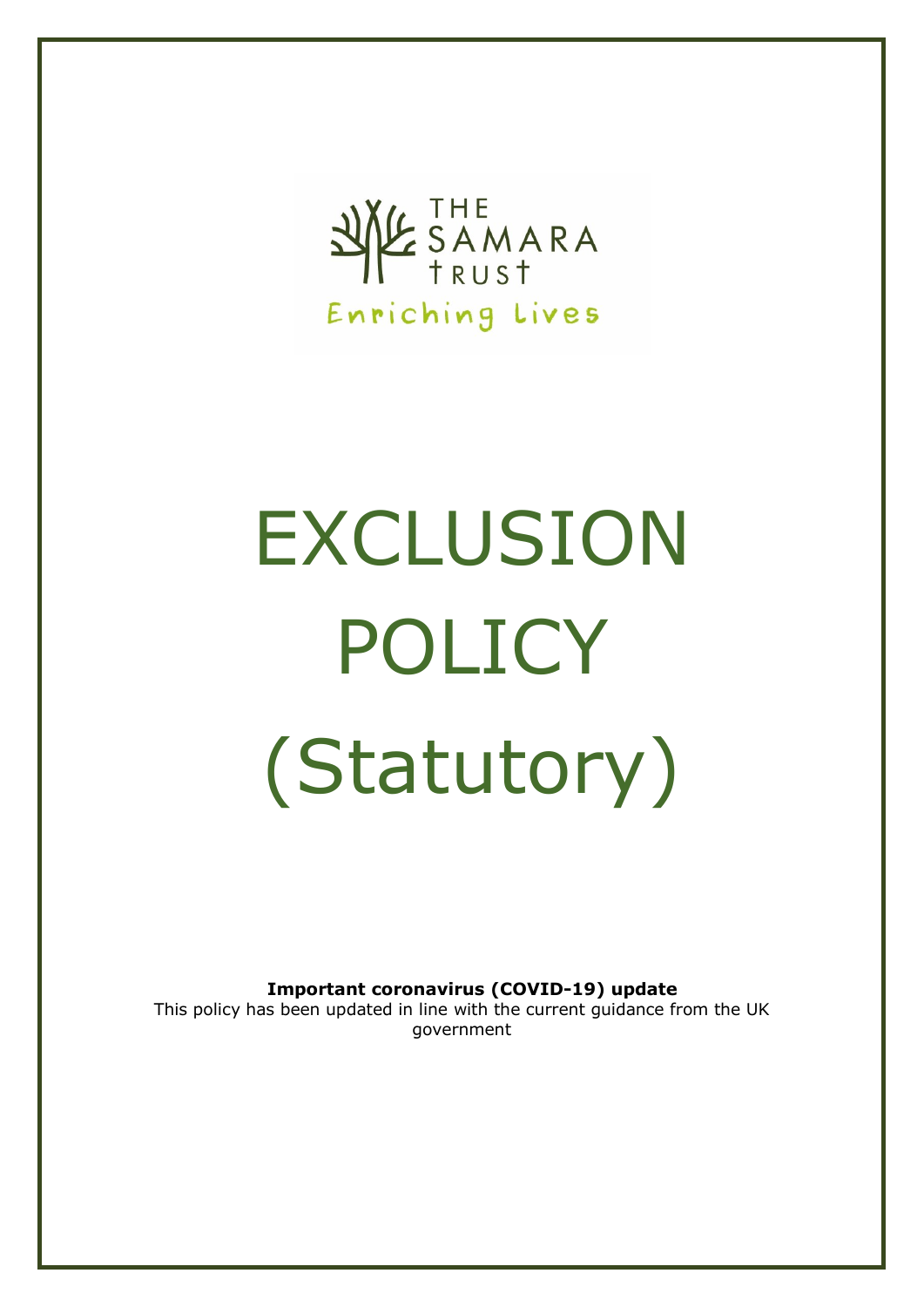

# EXCLUSION POLICY (Statutory)

**Important coronavirus (COVID-19) update**

This policy has been updated in line with the current guidance from the UK government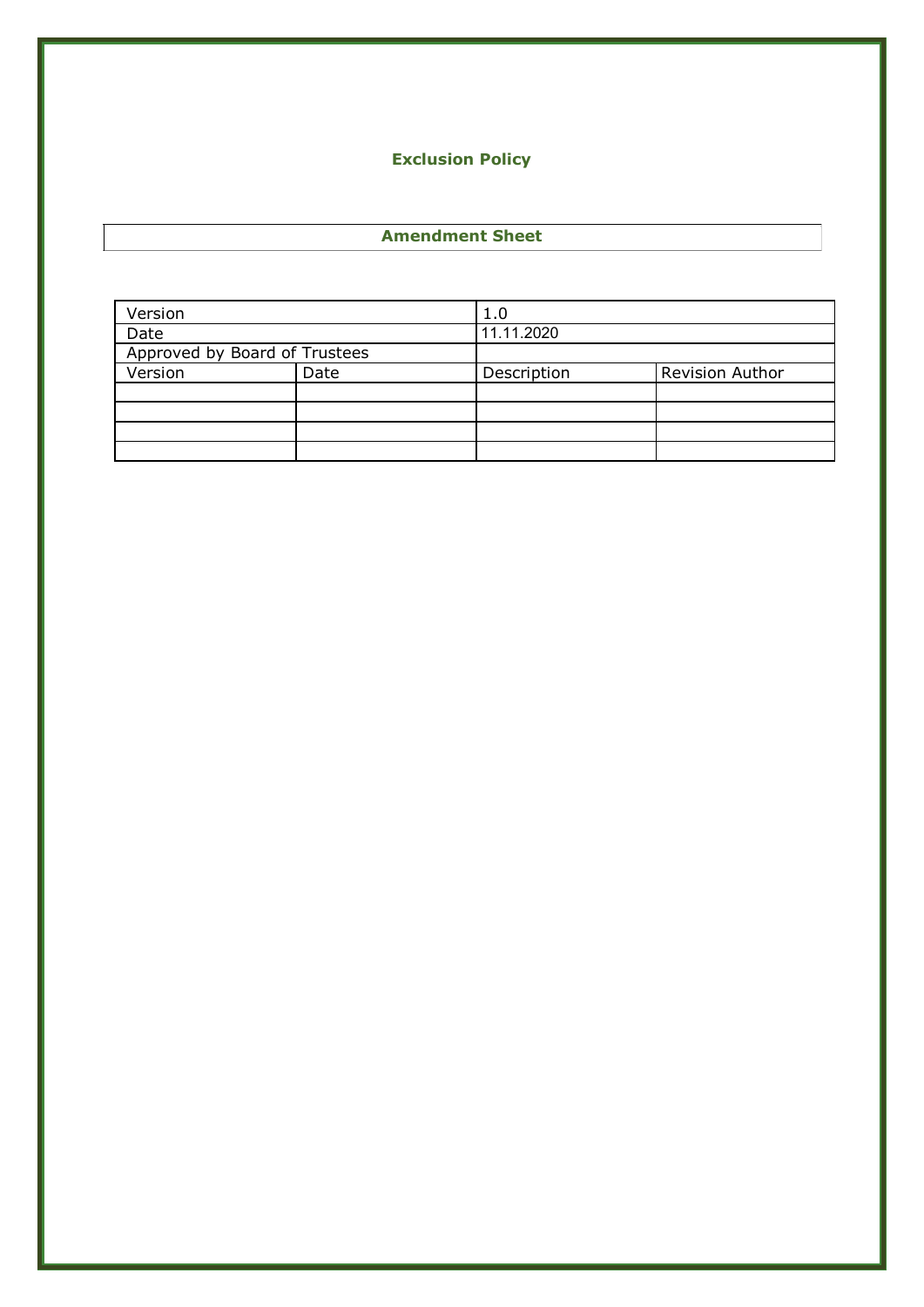# **Exclusion Policy**

#### **Amendment Sheet**

| Version                       |      | 1.0         |                        |
|-------------------------------|------|-------------|------------------------|
| Date                          |      | 11.11.2020  |                        |
| Approved by Board of Trustees |      |             |                        |
| Version                       | Date | Description | <b>Revision Author</b> |
|                               |      |             |                        |
|                               |      |             |                        |
|                               |      |             |                        |
|                               |      |             |                        |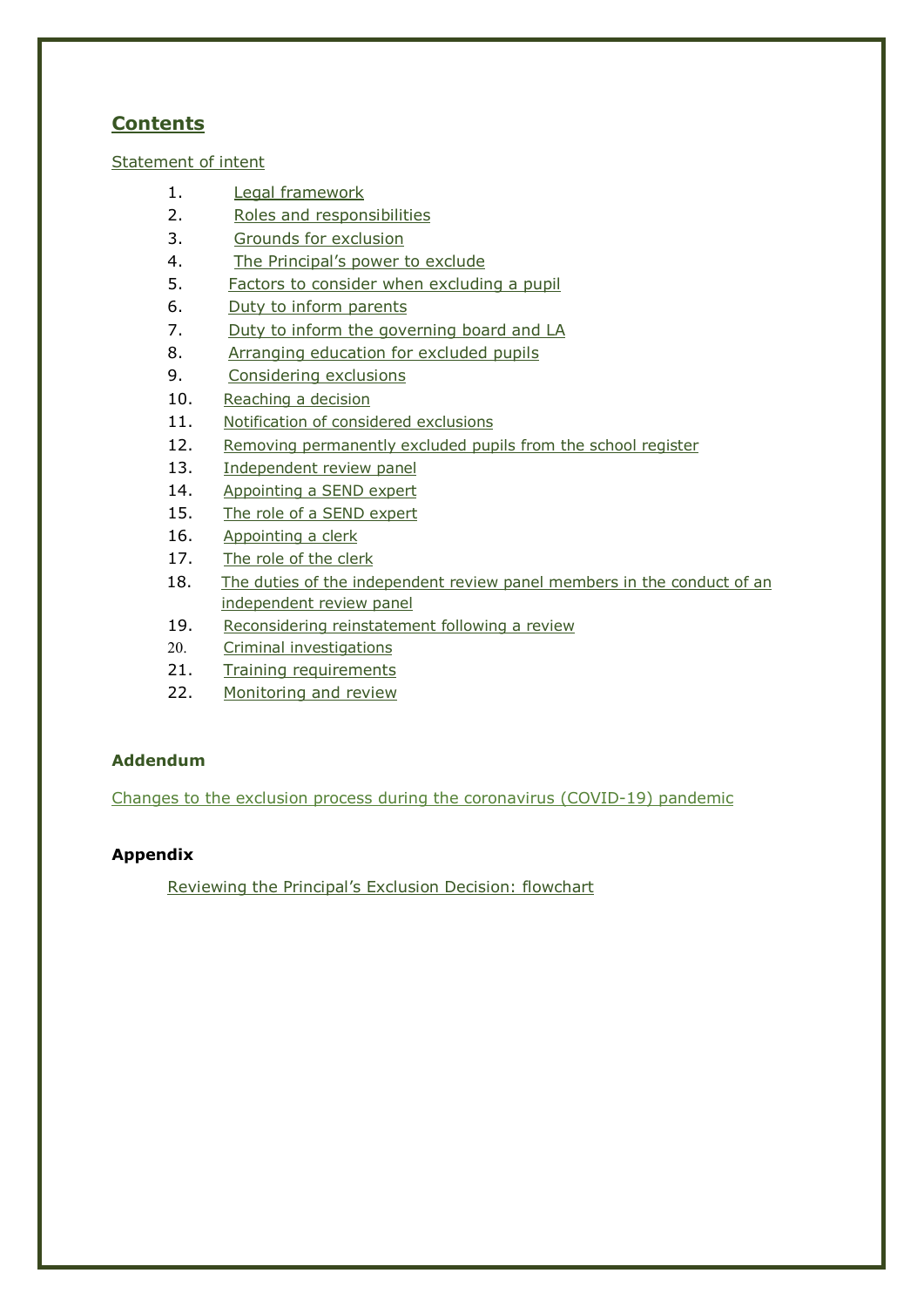# **Contents**

Statement of intent

- 1. Legal framework
- 2. Roles and responsibilities
- 3. Grounds for exclusion
- 4. The Principal's power to exclude
- 5. Factors to consider when excluding a pupil
- 6. Duty to inform parents
- 7. Duty to inform the governing board and LA
- 8. Arranging education for excluded pupils
- 9. Considering exclusions
- 10. Reaching a decision
- 11. Notification of considered exclusions
- 12. Removing permanently excluded pupils from the school register
- 13. Independent review panel
- 14. Appointing a SEND expert
- 15. The role of a SEND expert
- 16. Appointing a clerk
- 17. The role of the clerk
- 18. The duties of the independent review panel members in the conduct of an independent review panel
- 19. Reconsidering reinstatement following a review
- 20. Criminal investigations
- 21. Training requirements
- 22. Monitoring and review

# **Addendum**

Changes to the exclusion process during the coronavirus (COVID-19) pandemic

# **Appendix**

Reviewing the Principal's Exclusion Decision: flowchart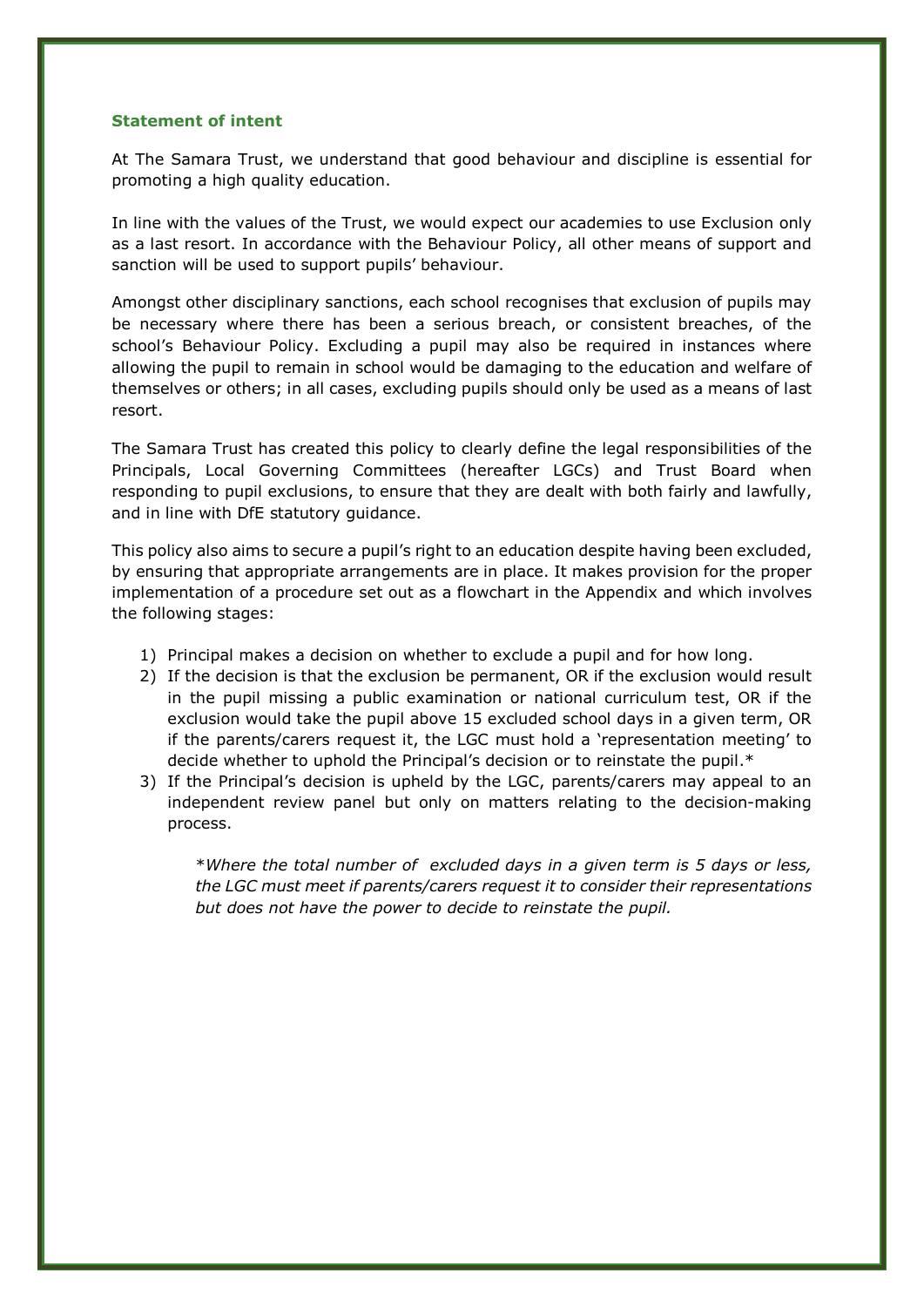#### **Statement of intent**

At The Samara Trust, we understand that good behaviour and discipline is essential for promoting a high quality education.

In line with the values of the Trust, we would expect our academies to use Exclusion only as a last resort. In accordance with the Behaviour Policy, all other means of support and sanction will be used to support pupils' behaviour.

Amongst other disciplinary sanctions, each school recognises that exclusion of pupils may be necessary where there has been a serious breach, or consistent breaches, of the school's Behaviour Policy. Excluding a pupil may also be required in instances where allowing the pupil to remain in school would be damaging to the education and welfare of themselves or others; in all cases, excluding pupils should only be used as a means of last resort.

The Samara Trust has created this policy to clearly define the legal responsibilities of the Principals, Local Governing Committees (hereafter LGCs) and Trust Board when responding to pupil exclusions, to ensure that they are dealt with both fairly and lawfully, and in line with DfE statutory guidance.

This policy also aims to secure a pupil's right to an education despite having been excluded, by ensuring that appropriate arrangements are in place. It makes provision for the proper implementation of a procedure set out as a flowchart in the Appendix and which involves the following stages:

- 1) Principal makes a decision on whether to exclude a pupil and for how long.
- 2) If the decision is that the exclusion be permanent, OR if the exclusion would result in the pupil missing a public examination or national curriculum test, OR if the exclusion would take the pupil above 15 excluded school days in a given term, OR if the parents/carers request it, the LGC must hold a 'representation meeting' to decide whether to uphold the Principal's decision or to reinstate the pupil.\*
- 3) If the Principal's decision is upheld by the LGC, parents/carers may appeal to an independent review panel but only on matters relating to the decision-making process.

\**Where the total number of excluded days in a given term is 5 days or less, the LGC must meet if parents/carers request it to consider their representations but does not have the power to decide to reinstate the pupil.*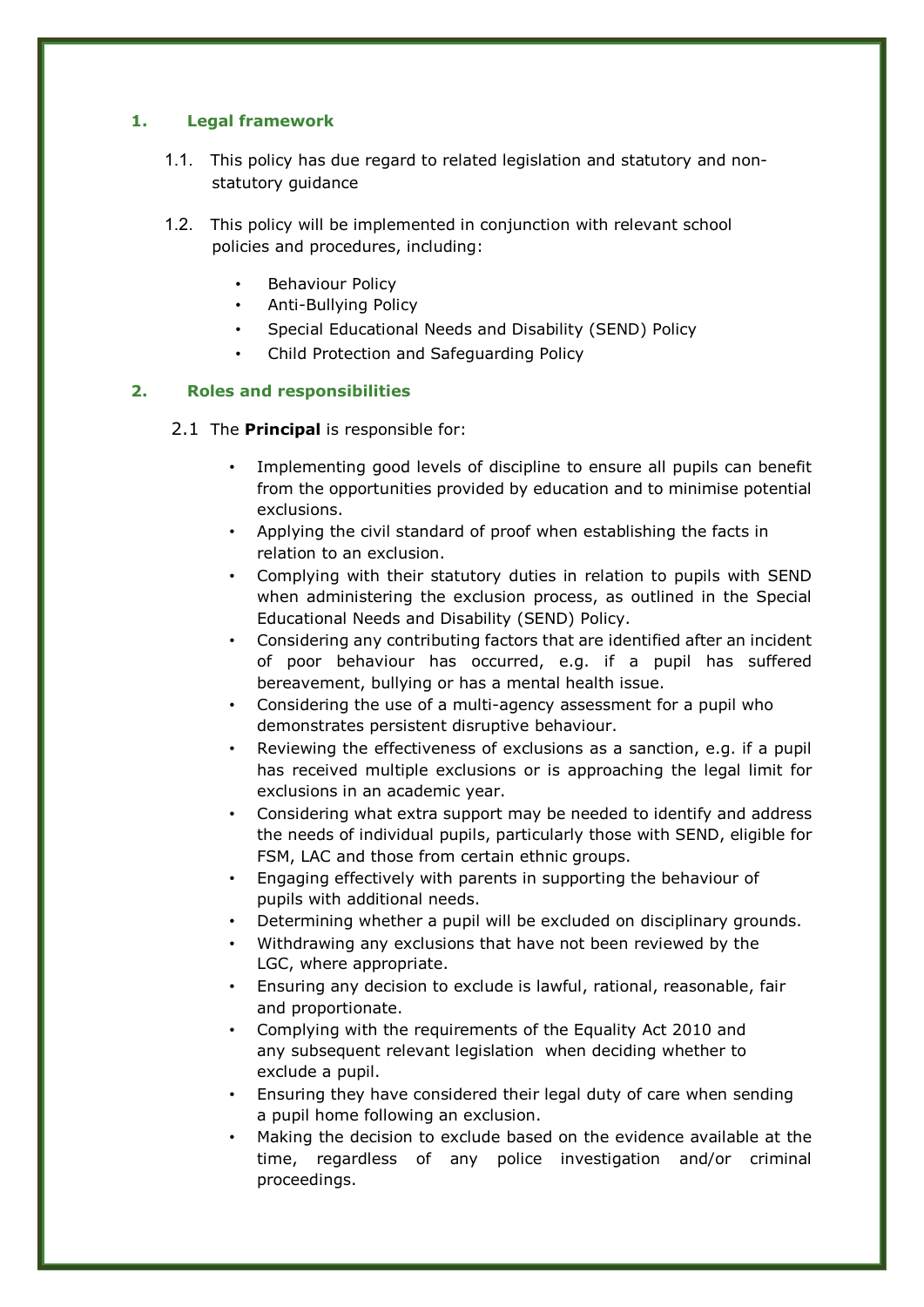# **1. Legal framework**

- 1.1. This policy has due regard to related legislation and statutory and nonstatutory guidance
- 1.2. This policy will be implemented in conjunction with relevant school policies and procedures, including:
	- Behaviour Policy
	- Anti-Bullying Policy
	- Special Educational Needs and Disability (SEND) Policy
	- Child Protection and Safeguarding Policy

## **2. Roles and responsibilities**

## 2.1 The **Principal** is responsible for:

- Implementing good levels of discipline to ensure all pupils can benefit from the opportunities provided by education and to minimise potential exclusions.
- Applying the civil standard of proof when establishing the facts in relation to an exclusion.
- Complying with their statutory duties in relation to pupils with SEND when administering the exclusion process, as outlined in the Special Educational Needs and Disability (SEND) Policy.
- Considering any contributing factors that are identified after an incident of poor behaviour has occurred, e.g. if a pupil has suffered bereavement, bullying or has a mental health issue.
- Considering the use of a multi-agency assessment for a pupil who demonstrates persistent disruptive behaviour.
- Reviewing the effectiveness of exclusions as a sanction, e.g. if a pupil has received multiple exclusions or is approaching the legal limit for exclusions in an academic year.
- Considering what extra support may be needed to identify and address the needs of individual pupils, particularly those with SEND, eligible for FSM, LAC and those from certain ethnic groups.
- Engaging effectively with parents in supporting the behaviour of pupils with additional needs.
- Determining whether a pupil will be excluded on disciplinary grounds.
- Withdrawing any exclusions that have not been reviewed by the LGC, where appropriate.
- Ensuring any decision to exclude is lawful, rational, reasonable, fair and proportionate.
- Complying with the requirements of the Equality Act 2010 and any subsequent relevant legislation when deciding whether to exclude a pupil.
- Ensuring they have considered their legal duty of care when sending a pupil home following an exclusion.
- Making the decision to exclude based on the evidence available at the time, regardless of any police investigation and/or criminal proceedings.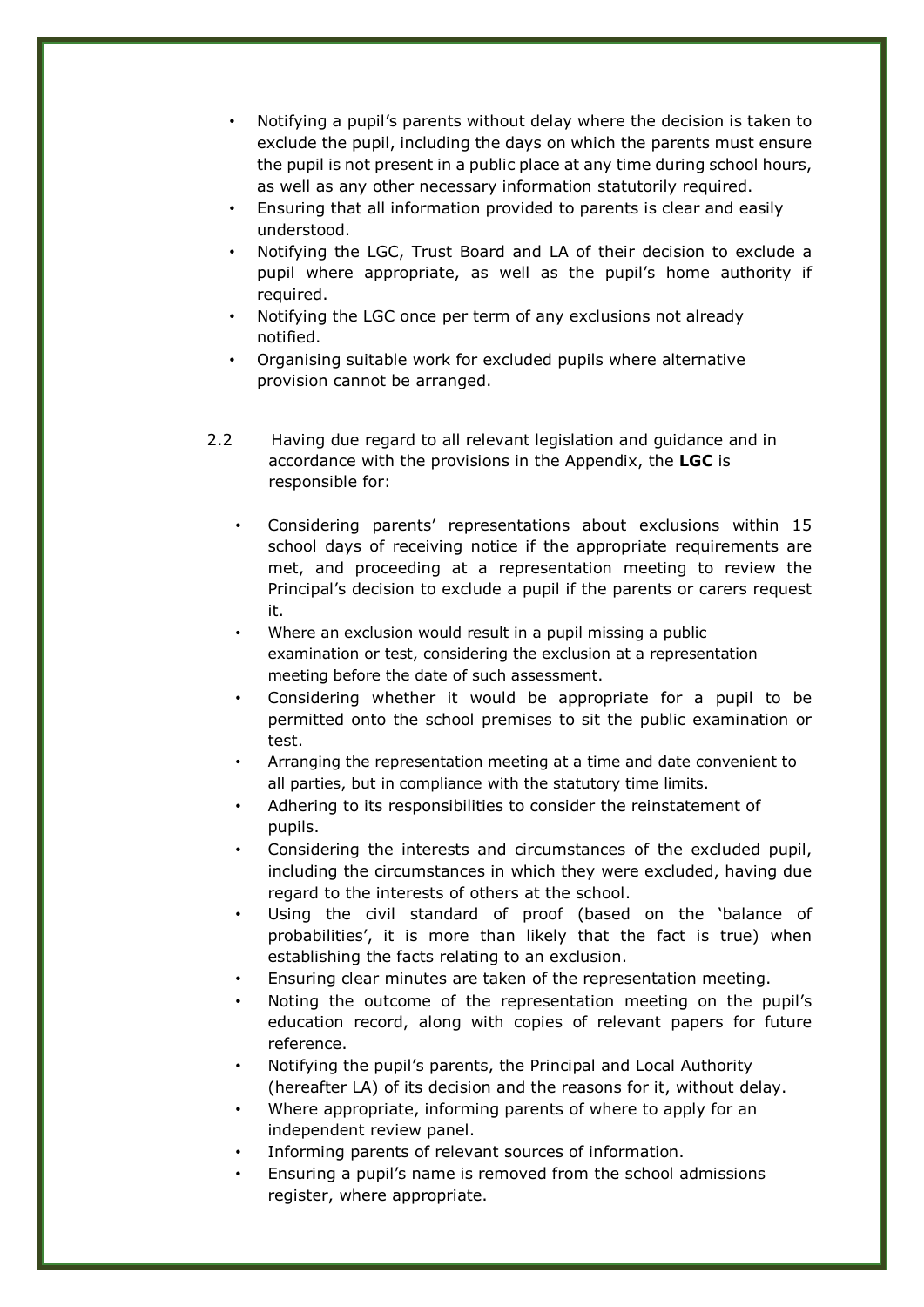- Notifying a pupil's parents without delay where the decision is taken to exclude the pupil, including the days on which the parents must ensure the pupil is not present in a public place at any time during school hours, as well as any other necessary information statutorily required.
- Ensuring that all information provided to parents is clear and easily understood.
- Notifying the LGC, Trust Board and LA of their decision to exclude a pupil where appropriate, as well as the pupil's home authority if required.
- Notifying the LGC once per term of any exclusions not already notified.
- Organising suitable work for excluded pupils where alternative provision cannot be arranged.
- 2.2 Having due regard to all relevant legislation and guidance and in accordance with the provisions in the Appendix, the **LGC** is responsible for:
	- Considering parents' representations about exclusions within 15 school days of receiving notice if the appropriate requirements are met, and proceeding at a representation meeting to review the Principal's decision to exclude a pupil if the parents or carers request it.
	- Where an exclusion would result in a pupil missing a public examination or test, considering the exclusion at a representation meeting before the date of such assessment.
	- Considering whether it would be appropriate for a pupil to be permitted onto the school premises to sit the public examination or test.
	- Arranging the representation meeting at a time and date convenient to all parties, but in compliance with the statutory time limits.
	- Adhering to its responsibilities to consider the reinstatement of pupils.
	- Considering the interests and circumstances of the excluded pupil, including the circumstances in which they were excluded, having due regard to the interests of others at the school.
	- Using the civil standard of proof (based on the 'balance of probabilities', it is more than likely that the fact is true) when establishing the facts relating to an exclusion.
	- Ensuring clear minutes are taken of the representation meeting.
	- Noting the outcome of the representation meeting on the pupil's education record, along with copies of relevant papers for future reference.
	- Notifying the pupil's parents, the Principal and Local Authority (hereafter LA) of its decision and the reasons for it, without delay.
	- Where appropriate, informing parents of where to apply for an independent review panel.
	- Informing parents of relevant sources of information.
	- Ensuring a pupil's name is removed from the school admissions register, where appropriate.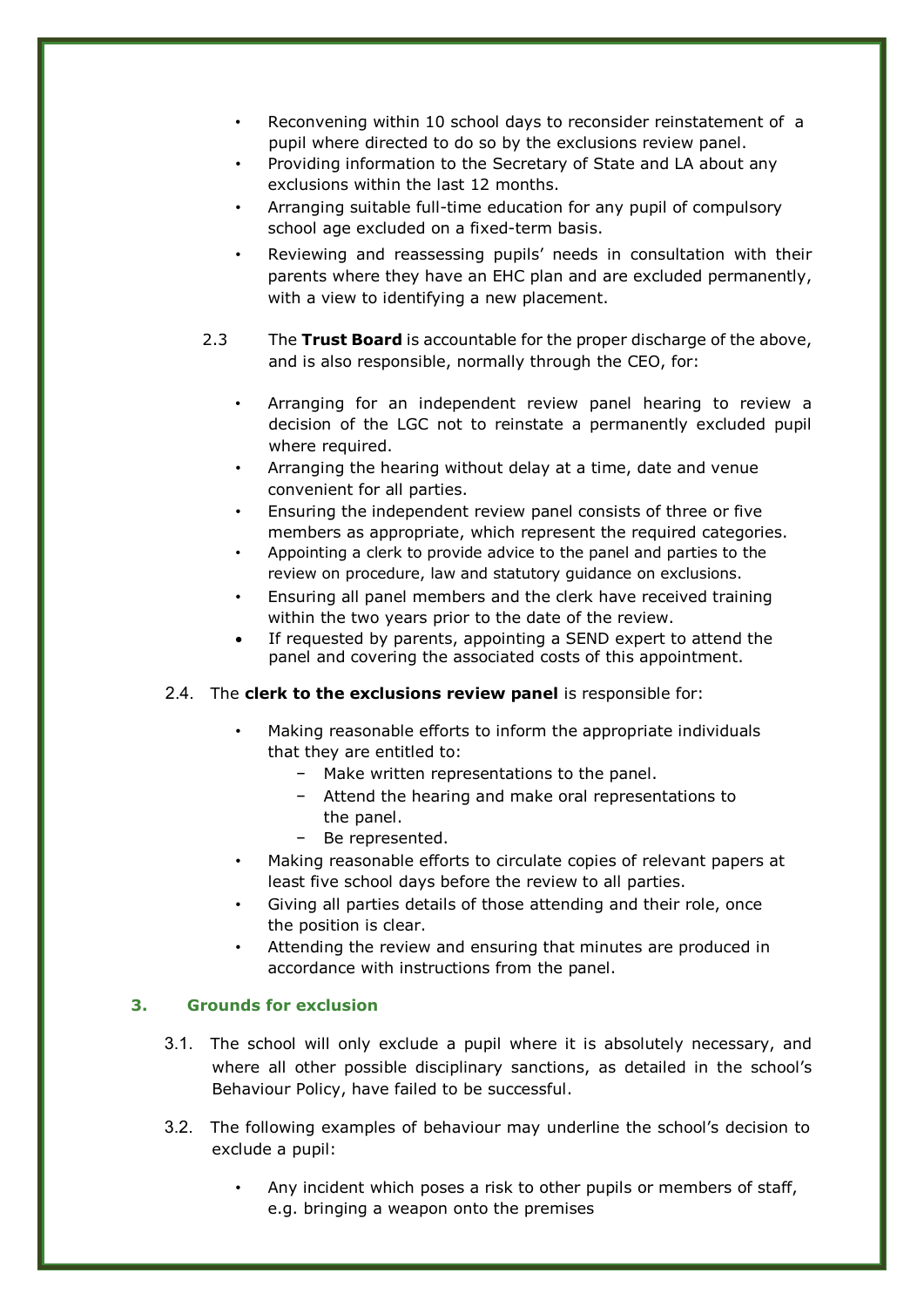- Reconvening within 10 school days to reconsider reinstatement of a pupil where directed to do so by the exclusions review panel.
- Providing information to the Secretary of State and LA about any exclusions within the last 12 months.
- Arranging suitable full-time education for any pupil of compulsory school age excluded on a fixed-term basis.
- Reviewing and reassessing pupils' needs in consultation with their parents where they have an EHC plan and are excluded permanently, with a view to identifying a new placement.
- 2.3 The **Trust Board** is accountable for the proper discharge of the above, and is also responsible, normally through the CEO, for:
	- Arranging for an independent review panel hearing to review a decision of the LGC not to reinstate a permanently excluded pupil where required.
	- Arranging the hearing without delay at a time, date and venue convenient for all parties.
	- Ensuring the independent review panel consists of three or five members as appropriate, which represent the required categories.
	- Appointing a clerk to provide advice to the panel and parties to the review on procedure, law and statutory guidance on exclusions.
	- Ensuring all panel members and the clerk have received training within the two years prior to the date of the review.
	- If requested by parents, appointing a SEND expert to attend the panel and covering the associated costs of this appointment.

# 2.4. The **clerk to the exclusions review panel** is responsible for:

- Making reasonable efforts to inform the appropriate individuals that they are entitled to:
	- − Make written representations to the panel.
	- − Attend the hearing and make oral representations to the panel.
	- − Be represented.
- Making reasonable efforts to circulate copies of relevant papers at least five school days before the review to all parties.
- Giving all parties details of those attending and their role, once the position is clear.
- Attending the review and ensuring that minutes are produced in accordance with instructions from the panel.

# **3. Grounds for exclusion**

- 3.1. The school will only exclude a pupil where it is absolutely necessary, and where all other possible disciplinary sanctions, as detailed in the school's Behaviour Policy, have failed to be successful.
- 3.2. The following examples of behaviour may underline the school's decision to exclude a pupil:
	- Any incident which poses a risk to other pupils or members of staff, e.g. bringing a weapon onto the premises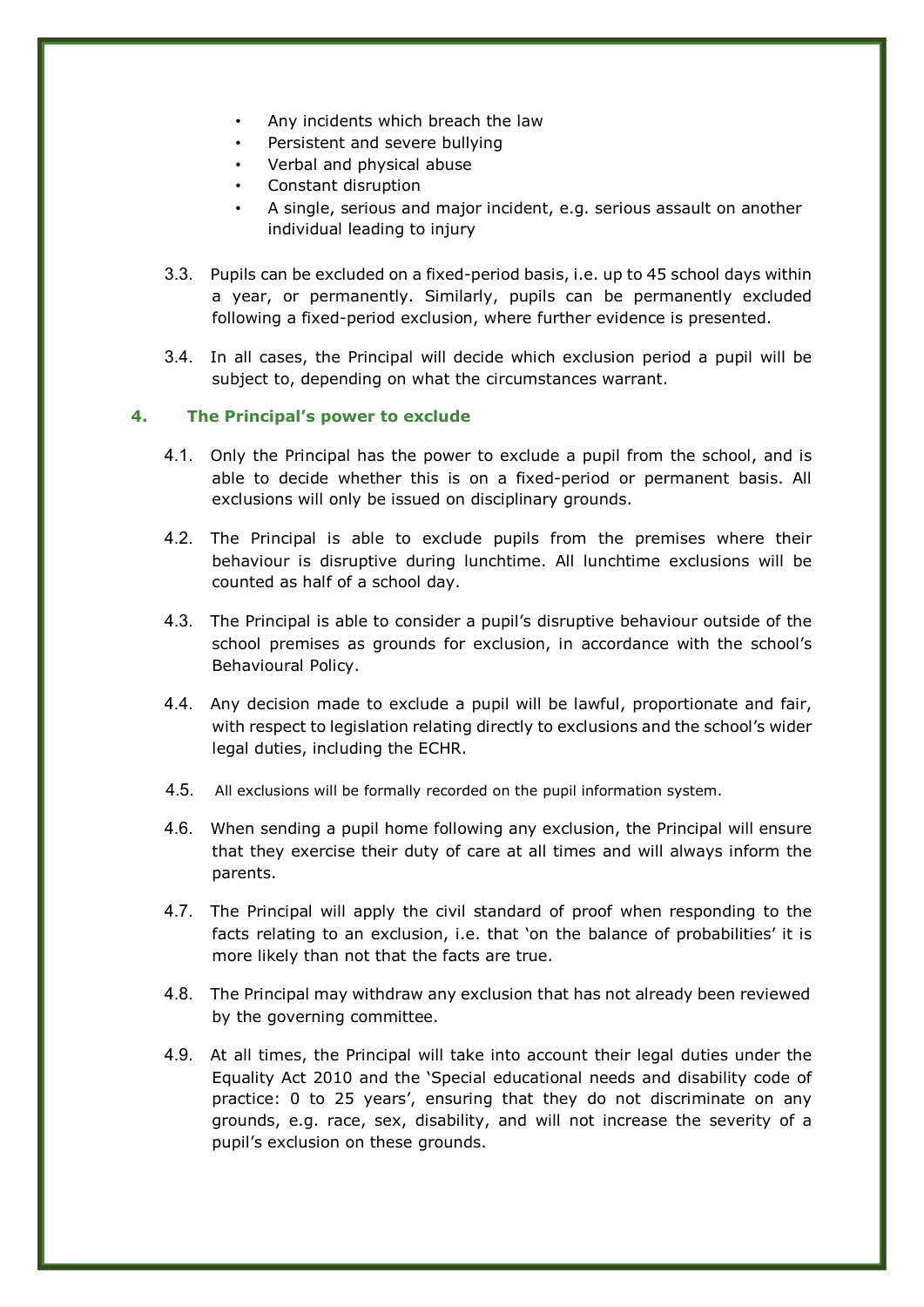- Any incidents which breach the law
- Persistent and severe bullying
- Verbal and physical abuse
- Constant disruption
- A single, serious and major incident, e.g. serious assault on another individual leading to injury
- 3.3. Pupils can be excluded on a fixed-period basis, i.e. up to 45 school days within a year, or permanently. Similarly, pupils can be permanently excluded following a fixed-period exclusion, where further evidence is presented.
- 3.4. In all cases, the Principal will decide which exclusion period a pupil will be subject to, depending on what the circumstances warrant.

#### **4. The Principal's power to exclude**

- 4.1. Only the Principal has the power to exclude a pupil from the school, and is able to decide whether this is on a fixed-period or permanent basis. All exclusions will only be issued on disciplinary grounds.
- 4.2. The Principal is able to exclude pupils from the premises where their behaviour is disruptive during lunchtime. All lunchtime exclusions will be counted as half of a school day.
- 4.3. The Principal is able to consider a pupil's disruptive behaviour outside of the school premises as grounds for exclusion, in accordance with the school's Behavioural Policy.
- 4.4. Any decision made to exclude a pupil will be lawful, proportionate and fair, with respect to legislation relating directly to exclusions and the school's wider legal duties, including the ECHR.
- 4.5. All exclusions will be formally recorded on the pupil information system.
- 4.6. When sending a pupil home following any exclusion, the Principal will ensure that they exercise their duty of care at all times and will always inform the parents.
- 4.7. The Principal will apply the civil standard of proof when responding to the facts relating to an exclusion, i.e. that 'on the balance of probabilities' it is more likely than not that the facts are true.
- 4.8. The Principal may withdraw any exclusion that has not already been reviewed by the governing committee.
- 4.9. At all times, the Principal will take into account their legal duties under the Equality Act 2010 and the 'Special educational needs and disability code of practice: 0 to 25 years', ensuring that they do not discriminate on any grounds, e.g. race, sex, disability, and will not increase the severity of a pupil's exclusion on these grounds.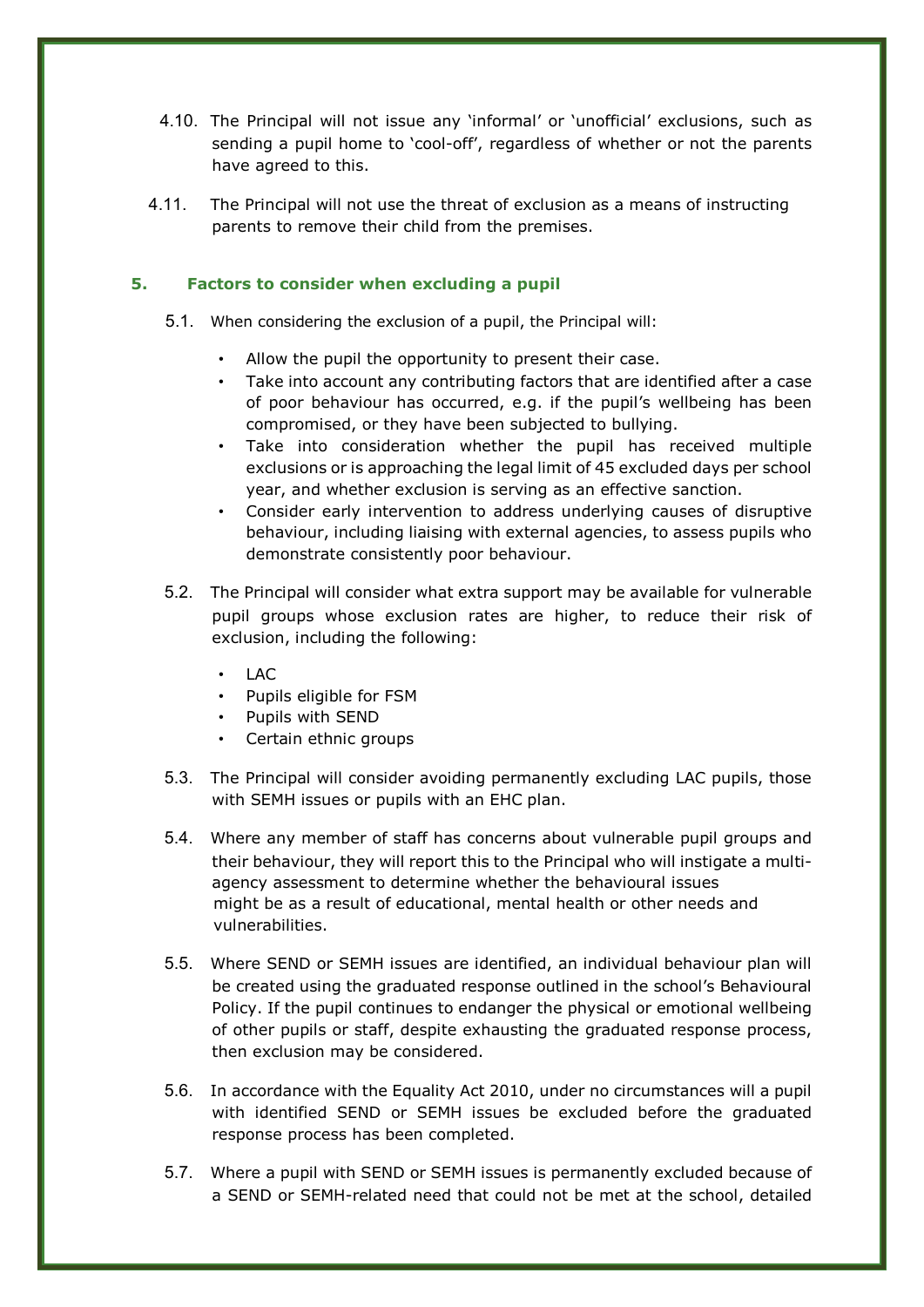- 4.10. The Principal will not issue any 'informal' or 'unofficial' exclusions, such as sending a pupil home to 'cool-off', regardless of whether or not the parents have agreed to this.
- 4.11. The Principal will not use the threat of exclusion as a means of instructing parents to remove their child from the premises.

# **5. Factors to consider when excluding a pupil**

- 5.1. When considering the exclusion of a pupil, the Principal will:
	- Allow the pupil the opportunity to present their case.
	- Take into account any contributing factors that are identified after a case of poor behaviour has occurred, e.g. if the pupil's wellbeing has been compromised, or they have been subjected to bullying.
	- Take into consideration whether the pupil has received multiple exclusions or is approaching the legal limit of 45 excluded days per school year, and whether exclusion is serving as an effective sanction.
	- Consider early intervention to address underlying causes of disruptive behaviour, including liaising with external agencies, to assess pupils who demonstrate consistently poor behaviour.
- 5.2. The Principal will consider what extra support may be available for vulnerable pupil groups whose exclusion rates are higher, to reduce their risk of exclusion, including the following:
	- $\cdot$  LAC
	- Pupils eligible for FSM
	- Pupils with SEND
	- Certain ethnic groups
- 5.3. The Principal will consider avoiding permanently excluding LAC pupils, those with SEMH issues or pupils with an EHC plan.
- 5.4. Where any member of staff has concerns about vulnerable pupil groups and their behaviour, they will report this to the Principal who will instigate a multiagency assessment to determine whether the behavioural issues might be as a result of educational, mental health or other needs and vulnerabilities.
- 5.5. Where SEND or SEMH issues are identified, an individual behaviour plan will be created using the graduated response outlined in the school's Behavioural Policy. If the pupil continues to endanger the physical or emotional wellbeing of other pupils or staff, despite exhausting the graduated response process, then exclusion may be considered.
- 5.6. In accordance with the Equality Act 2010, under no circumstances will a pupil with identified SEND or SEMH issues be excluded before the graduated response process has been completed.
- 5.7. Where a pupil with SEND or SEMH issues is permanently excluded because of a SEND or SEMH-related need that could not be met at the school, detailed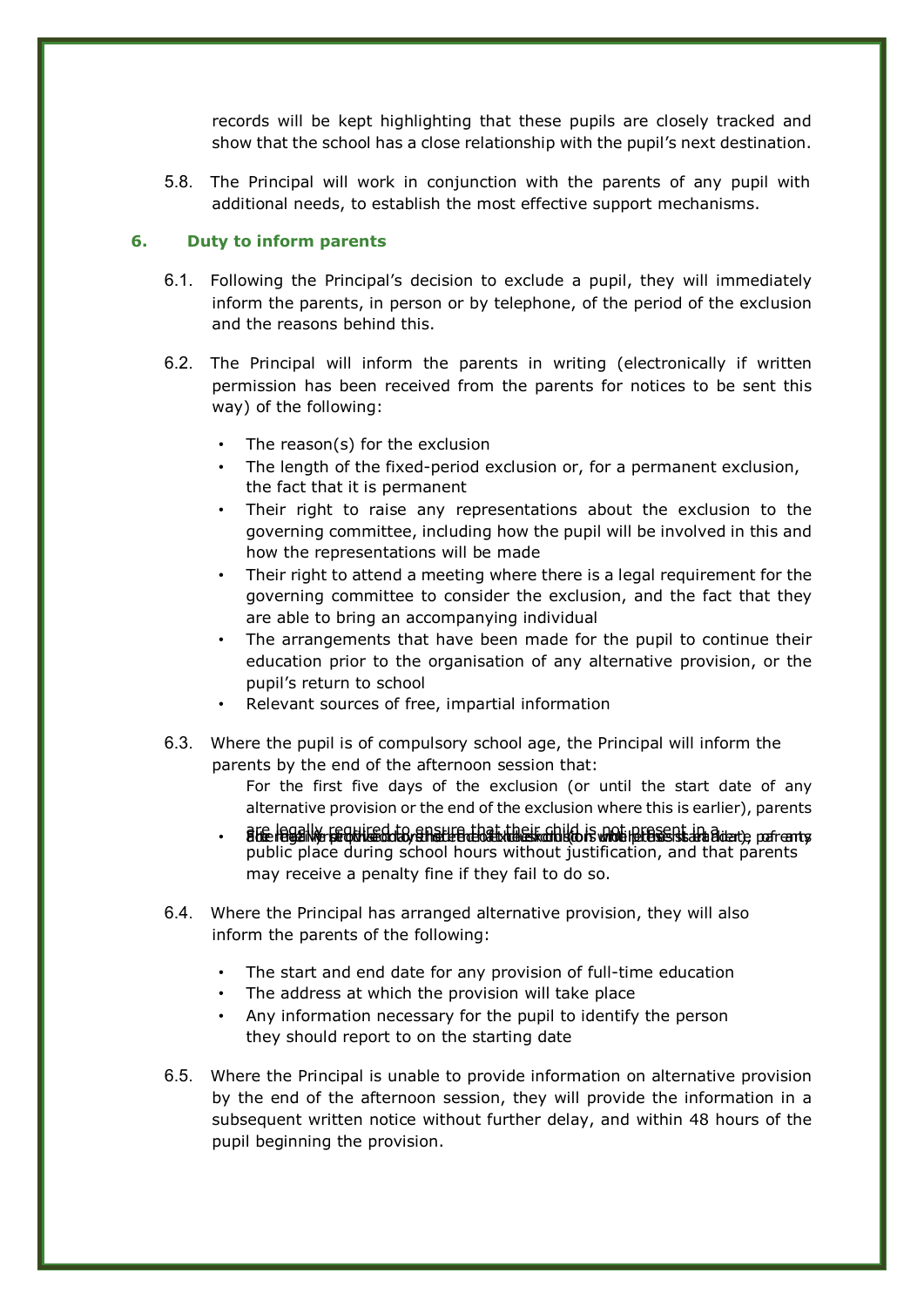records will be kept highlighting that these pupils are closely tracked and show that the school has a close relationship with the pupil's next destination.

5.8. The Principal will work in conjunction with the parents of any pupil with additional needs, to establish the most effective support mechanisms.

#### **6. Duty to inform parents**

- 6.1. Following the Principal's decision to exclude a pupil, they will immediately inform the parents, in person or by telephone, of the period of the exclusion and the reasons behind this.
- 6.2. The Principal will inform the parents in writing (electronically if written permission has been received from the parents for notices to be sent this way) of the following:
	- The reason(s) for the exclusion
	- The length of the fixed-period exclusion or, for a permanent exclusion, the fact that it is permanent
	- Their right to raise any representations about the exclusion to the governing committee, including how the pupil will be involved in this and how the representations will be made
	- Their right to attend a meeting where there is a legal requirement for the governing committee to consider the exclusion, and the fact that they are able to bring an accompanying individual
	- The arrangements that have been made for the pupil to continue their education prior to the organisation of any alternative provision, or the pupil's return to school
	- Relevant sources of free, impartial information
- 6.3. Where the pupil is of compulsory school age, the Principal will inform the parents by the end of the afternoon session that:
	- For the first five days of the exclusion (or until the start date of any alternative provision or the end of the exclusion where this is earlier), parents
	- are legally required to ensure that their child is not present in a death part ents. public place during school hours without justification, and that parents may receive a penalty fine if they fail to do so.
- 6.4. Where the Principal has arranged alternative provision, they will also inform the parents of the following:
	- The start and end date for any provision of full-time education
	- The address at which the provision will take place
	- Any information necessary for the pupil to identify the person they should report to on the starting date
- 6.5. Where the Principal is unable to provide information on alternative provision by the end of the afternoon session, they will provide the information in a subsequent written notice without further delay, and within 48 hours of the pupil beginning the provision.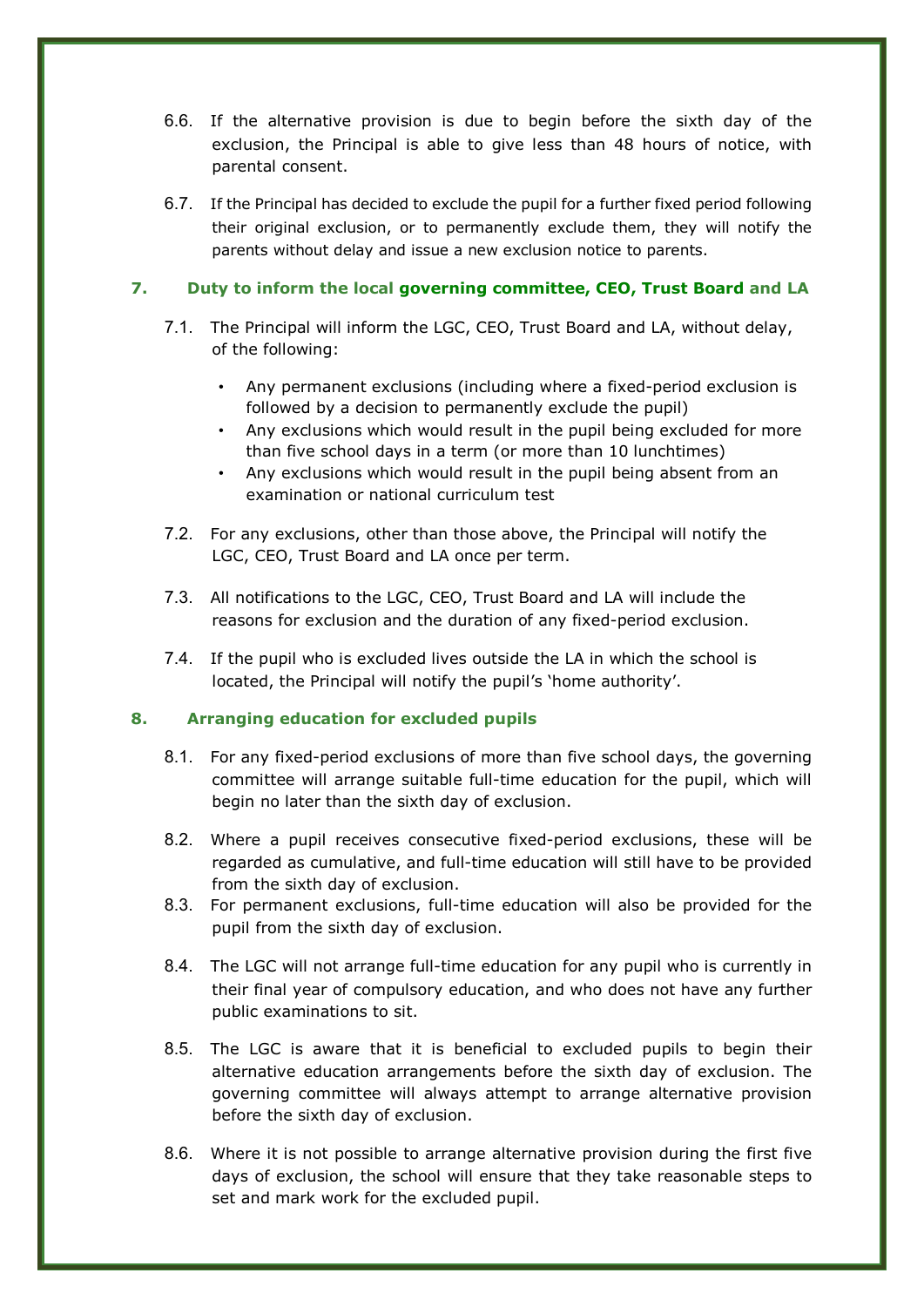- 6.6. If the alternative provision is due to begin before the sixth day of the exclusion, the Principal is able to give less than 48 hours of notice, with parental consent.
- 6.7. If the Principal has decided to exclude the pupil for a further fixed period following their original exclusion, or to permanently exclude them, they will notify the parents without delay and issue a new exclusion notice to parents.

# **7. Duty to inform the local governing committee, CEO, Trust Board and LA**

- 7.1. The Principal will inform the LGC, CEO, Trust Board and LA, without delay, of the following:
	- Any permanent exclusions (including where a fixed-period exclusion is followed by a decision to permanently exclude the pupil)
	- Any exclusions which would result in the pupil being excluded for more than five school days in a term (or more than 10 lunchtimes)
	- Any exclusions which would result in the pupil being absent from an examination or national curriculum test
- 7.2. For any exclusions, other than those above, the Principal will notify the LGC, CEO, Trust Board and LA once per term.
- 7.3. All notifications to the LGC, CEO, Trust Board and LA will include the reasons for exclusion and the duration of any fixed-period exclusion.
- 7.4. If the pupil who is excluded lives outside the LA in which the school is located, the Principal will notify the pupil's 'home authority'.

# **8. Arranging education for excluded pupils**

- 8.1. For any fixed-period exclusions of more than five school days, the governing committee will arrange suitable full-time education for the pupil, which will begin no later than the sixth day of exclusion.
- 8.2. Where a pupil receives consecutive fixed-period exclusions, these will be regarded as cumulative, and full-time education will still have to be provided from the sixth day of exclusion.
- 8.3. For permanent exclusions, full-time education will also be provided for the pupil from the sixth day of exclusion.
- 8.4. The LGC will not arrange full-time education for any pupil who is currently in their final year of compulsory education, and who does not have any further public examinations to sit.
- 8.5. The LGC is aware that it is beneficial to excluded pupils to begin their alternative education arrangements before the sixth day of exclusion. The governing committee will always attempt to arrange alternative provision before the sixth day of exclusion.
- 8.6. Where it is not possible to arrange alternative provision during the first five days of exclusion, the school will ensure that they take reasonable steps to set and mark work for the excluded pupil.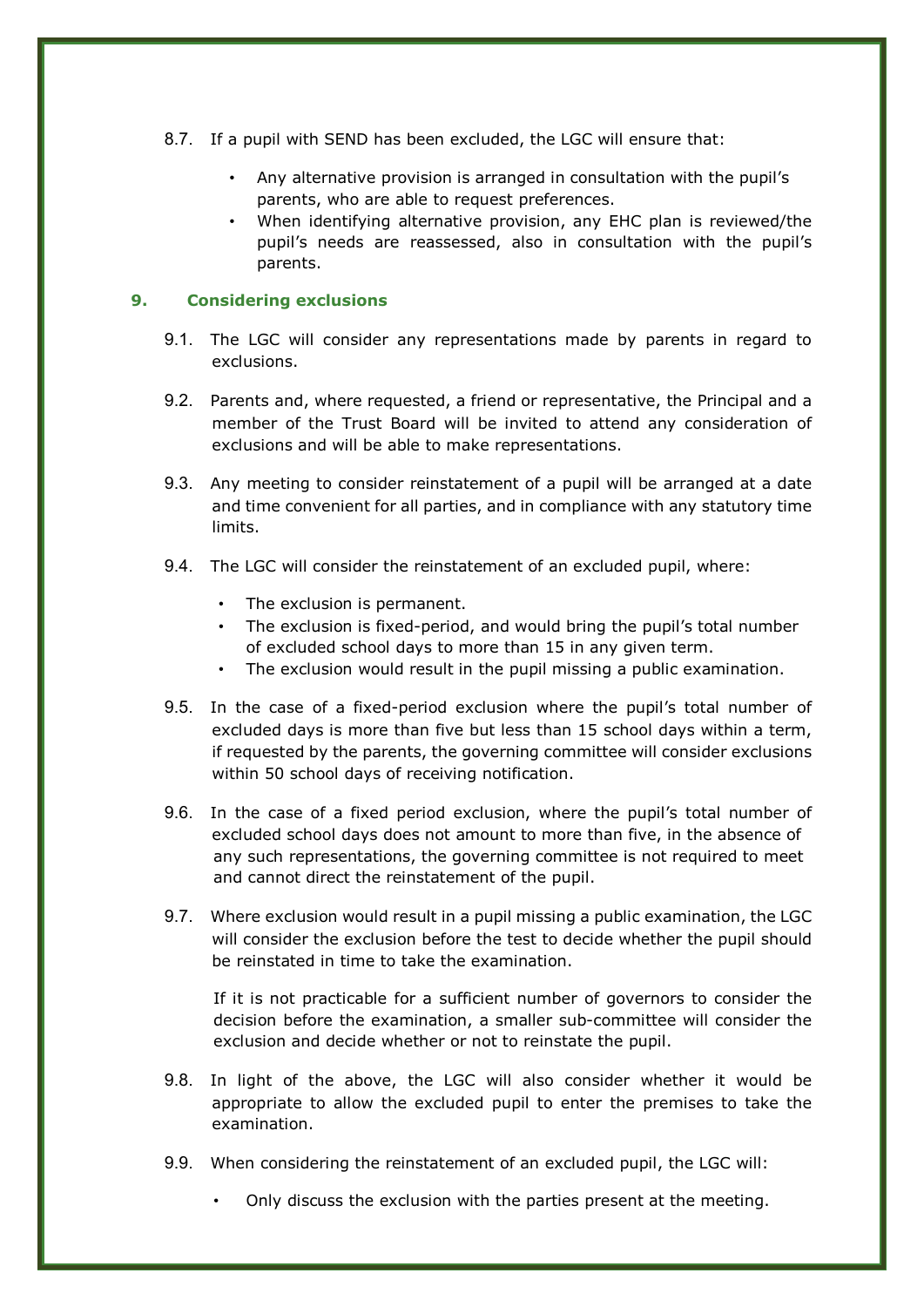- 8.7. If a pupil with SEND has been excluded, the LGC will ensure that:
	- Any alternative provision is arranged in consultation with the pupil's parents, who are able to request preferences.
	- When identifying alternative provision, any EHC plan is reviewed/the pupil's needs are reassessed, also in consultation with the pupil's parents.

## **9. Considering exclusions**

- 9.1. The LGC will consider any representations made by parents in regard to exclusions.
- 9.2. Parents and, where requested, a friend or representative, the Principal and a member of the Trust Board will be invited to attend any consideration of exclusions and will be able to make representations.
- 9.3. Any meeting to consider reinstatement of a pupil will be arranged at a date and time convenient for all parties, and in compliance with any statutory time limits.
- 9.4. The LGC will consider the reinstatement of an excluded pupil, where:
	- The exclusion is permanent.
	- The exclusion is fixed-period, and would bring the pupil's total number of excluded school days to more than 15 in any given term.
	- The exclusion would result in the pupil missing a public examination.
- 9.5. In the case of a fixed-period exclusion where the pupil's total number of excluded days is more than five but less than 15 school days within a term, if requested by the parents, the governing committee will consider exclusions within 50 school days of receiving notification.
- 9.6. In the case of a fixed period exclusion, where the pupil's total number of excluded school days does not amount to more than five, in the absence of any such representations, the governing committee is not required to meet and cannot direct the reinstatement of the pupil.
- 9.7. Where exclusion would result in a pupil missing a public examination, the LGC will consider the exclusion before the test to decide whether the pupil should be reinstated in time to take the examination.

If it is not practicable for a sufficient number of governors to consider the decision before the examination, a smaller sub-committee will consider the exclusion and decide whether or not to reinstate the pupil.

- 9.8. In light of the above, the LGC will also consider whether it would be appropriate to allow the excluded pupil to enter the premises to take the examination.
- 9.9. When considering the reinstatement of an excluded pupil, the LGC will:
	- Only discuss the exclusion with the parties present at the meeting.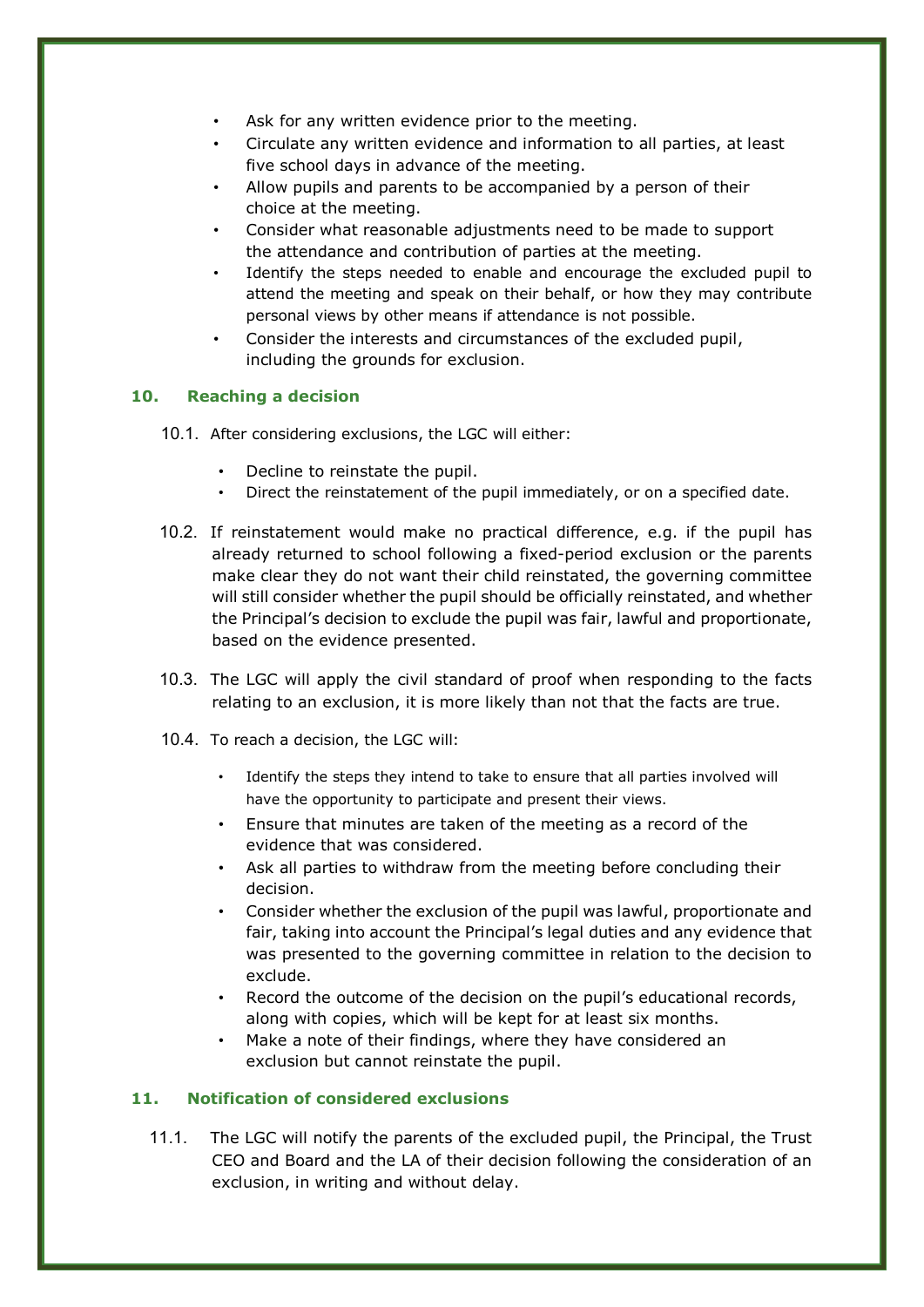- Ask for any written evidence prior to the meeting.
- Circulate any written evidence and information to all parties, at least five school days in advance of the meeting.
- Allow pupils and parents to be accompanied by a person of their choice at the meeting.
- Consider what reasonable adjustments need to be made to support the attendance and contribution of parties at the meeting.
- Identify the steps needed to enable and encourage the excluded pupil to attend the meeting and speak on their behalf, or how they may contribute personal views by other means if attendance is not possible.
- Consider the interests and circumstances of the excluded pupil, including the grounds for exclusion.

# **10. Reaching a decision**

- 10.1. After considering exclusions, the LGC will either:
	- Decline to reinstate the pupil.
	- Direct the reinstatement of the pupil immediately, or on a specified date.
- 10.2. If reinstatement would make no practical difference, e.g. if the pupil has already returned to school following a fixed-period exclusion or the parents make clear they do not want their child reinstated, the governing committee will still consider whether the pupil should be officially reinstated, and whether the Principal's decision to exclude the pupil was fair, lawful and proportionate, based on the evidence presented.
- 10.3. The LGC will apply the civil standard of proof when responding to the facts relating to an exclusion, it is more likely than not that the facts are true.
- 10.4. To reach a decision, the LGC will:
	- Identify the steps they intend to take to ensure that all parties involved will have the opportunity to participate and present their views.
	- Ensure that minutes are taken of the meeting as a record of the evidence that was considered.
	- Ask all parties to withdraw from the meeting before concluding their decision.
	- Consider whether the exclusion of the pupil was lawful, proportionate and fair, taking into account the Principal's legal duties and any evidence that was presented to the governing committee in relation to the decision to exclude.
	- Record the outcome of the decision on the pupil's educational records, along with copies, which will be kept for at least six months.
	- Make a note of their findings, where they have considered an exclusion but cannot reinstate the pupil.

#### **11. Notification of considered exclusions**

11.1. The LGC will notify the parents of the excluded pupil, the Principal, the Trust CEO and Board and the LA of their decision following the consideration of an exclusion, in writing and without delay.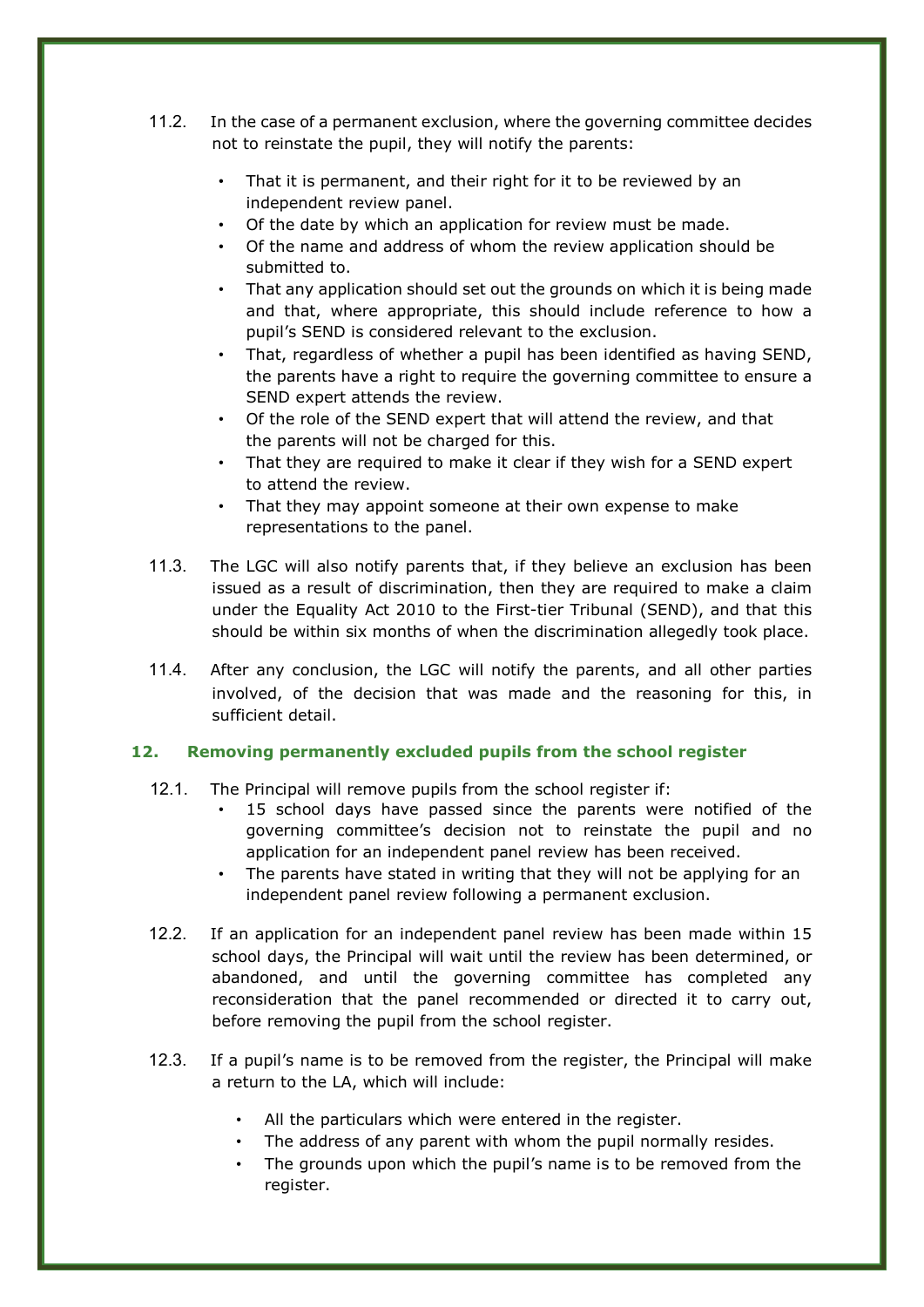- 11.2. In the case of a permanent exclusion, where the governing committee decides not to reinstate the pupil, they will notify the parents:
	- That it is permanent, and their right for it to be reviewed by an independent review panel.
	- Of the date by which an application for review must be made.
	- Of the name and address of whom the review application should be submitted to.
	- That any application should set out the grounds on which it is being made and that, where appropriate, this should include reference to how a pupil's SEND is considered relevant to the exclusion.
	- That, regardless of whether a pupil has been identified as having SEND, the parents have a right to require the governing committee to ensure a SEND expert attends the review.
	- Of the role of the SEND expert that will attend the review, and that the parents will not be charged for this.
	- That they are required to make it clear if they wish for a SEND expert to attend the review.
	- That they may appoint someone at their own expense to make representations to the panel.
- 11.3. The LGC will also notify parents that, if they believe an exclusion has been issued as a result of discrimination, then they are required to make a claim under the Equality Act 2010 to the First-tier Tribunal (SEND), and that this should be within six months of when the discrimination allegedly took place.
- 11.4. After any conclusion, the LGC will notify the parents, and all other parties involved, of the decision that was made and the reasoning for this, in sufficient detail.

#### **12. Removing permanently excluded pupils from the school register**

- 12.1. The Principal will remove pupils from the school register if:
	- 15 school days have passed since the parents were notified of the governing committee's decision not to reinstate the pupil and no application for an independent panel review has been received.
	- The parents have stated in writing that they will not be applying for an independent panel review following a permanent exclusion.
- 12.2. If an application for an independent panel review has been made within 15 school days, the Principal will wait until the review has been determined, or abandoned, and until the governing committee has completed any reconsideration that the panel recommended or directed it to carry out, before removing the pupil from the school register.
- 12.3. If a pupil's name is to be removed from the register, the Principal will make a return to the LA, which will include:
	- All the particulars which were entered in the register.
	- The address of any parent with whom the pupil normally resides.
	- The grounds upon which the pupil's name is to be removed from the register.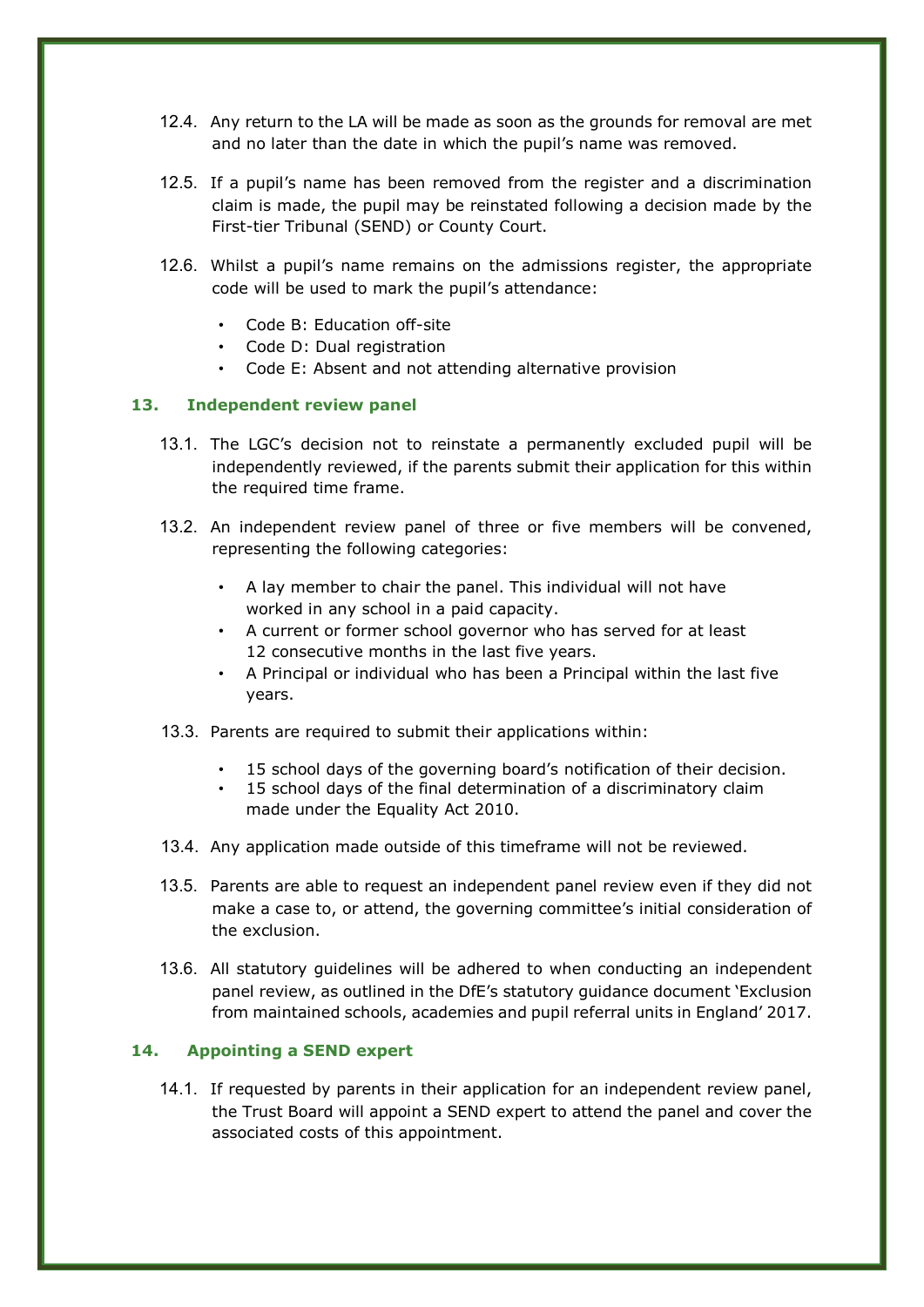- 12.4. Any return to the LA will be made as soon as the grounds for removal are met and no later than the date in which the pupil's name was removed.
- 12.5. If a pupil's name has been removed from the register and a discrimination claim is made, the pupil may be reinstated following a decision made by the First-tier Tribunal (SEND) or County Court.
- 12.6. Whilst a pupil's name remains on the admissions register, the appropriate code will be used to mark the pupil's attendance:
	- Code B: Education off-site
	- Code D: Dual registration
	- Code E: Absent and not attending alternative provision

## **13. Independent review panel**

- 13.1. The LGC's decision not to reinstate a permanently excluded pupil will be independently reviewed, if the parents submit their application for this within the required time frame.
- 13.2. An independent review panel of three or five members will be convened, representing the following categories:
	- A lay member to chair the panel. This individual will not have worked in any school in a paid capacity.
	- A current or former school governor who has served for at least 12 consecutive months in the last five years.
	- A Principal or individual who has been a Principal within the last five years.
- 13.3. Parents are required to submit their applications within:
	- 15 school days of the governing board's notification of their decision.
	- 15 school days of the final determination of a discriminatory claim made under the Equality Act 2010.
- 13.4. Any application made outside of this timeframe will not be reviewed.
- 13.5. Parents are able to request an independent panel review even if they did not make a case to, or attend, the governing committee's initial consideration of the exclusion.
- 13.6. All statutory guidelines will be adhered to when conducting an independent panel review, as outlined in the DfE's statutory guidance document 'Exclusion from maintained schools, academies and pupil referral units in England' 2017.

#### **14. Appointing a SEND expert**

14.1. If requested by parents in their application for an independent review panel, the Trust Board will appoint a SEND expert to attend the panel and cover the associated costs of this appointment.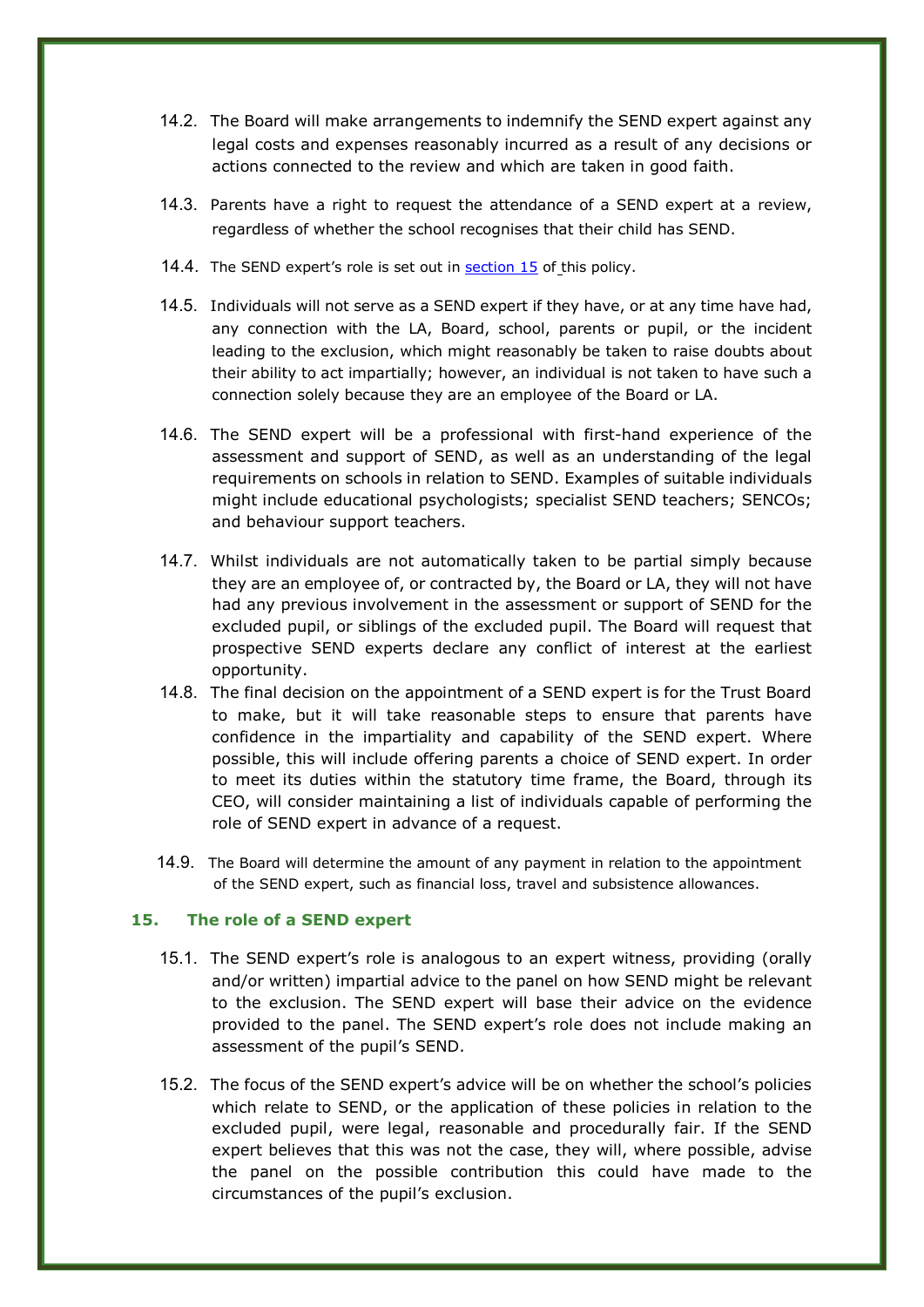- 14.2. The Board will make arrangements to indemnify the SEND expert against any legal costs and expenses reasonably incurred as a result of any decisions or actions connected to the review and which are taken in good faith.
- 14.3. Parents have a right to request the attendance of a SEND expert at a review, regardless of whether the school recognises that their child has SEND.
- 14.4. The SEND expert's role is set out in section 15 of this policy.
- 14.5. Individuals will not serve as a SEND expert if they have, or at any time have had, any connection with the LA, Board, school, parents or pupil, or the incident leading to the exclusion, which might reasonably be taken to raise doubts about their ability to act impartially; however, an individual is not taken to have such a connection solely because they are an employee of the Board or LA.
- 14.6. The SEND expert will be a professional with first-hand experience of the assessment and support of SEND, as well as an understanding of the legal requirements on schools in relation to SEND. Examples of suitable individuals might include educational psychologists; specialist SEND teachers; SENCOs; and behaviour support teachers.
- 14.7. Whilst individuals are not automatically taken to be partial simply because they are an employee of, or contracted by, the Board or LA, they will not have had any previous involvement in the assessment or support of SEND for the excluded pupil, or siblings of the excluded pupil. The Board will request that prospective SEND experts declare any conflict of interest at the earliest opportunity.
- 14.8. The final decision on the appointment of a SEND expert is for the Trust Board to make, but it will take reasonable steps to ensure that parents have confidence in the impartiality and capability of the SEND expert. Where possible, this will include offering parents a choice of SEND expert. In order to meet its duties within the statutory time frame, the Board, through its CEO, will consider maintaining a list of individuals capable of performing the role of SEND expert in advance of a request.
- 14.9. The Board will determine the amount of any payment in relation to the appointment of the SEND expert, such as financial loss, travel and subsistence allowances.

#### **15. The role of a SEND expert**

- 15.1. The SEND expert's role is analogous to an expert witness, providing (orally and/or written) impartial advice to the panel on how SEND might be relevant to the exclusion. The SEND expert will base their advice on the evidence provided to the panel. The SEND expert's role does not include making an assessment of the pupil's SEND.
- 15.2. The focus of the SEND expert's advice will be on whether the school's policies which relate to SEND, or the application of these policies in relation to the excluded pupil, were legal, reasonable and procedurally fair. If the SEND expert believes that this was not the case, they will, where possible, advise the panel on the possible contribution this could have made to the circumstances of the pupil's exclusion.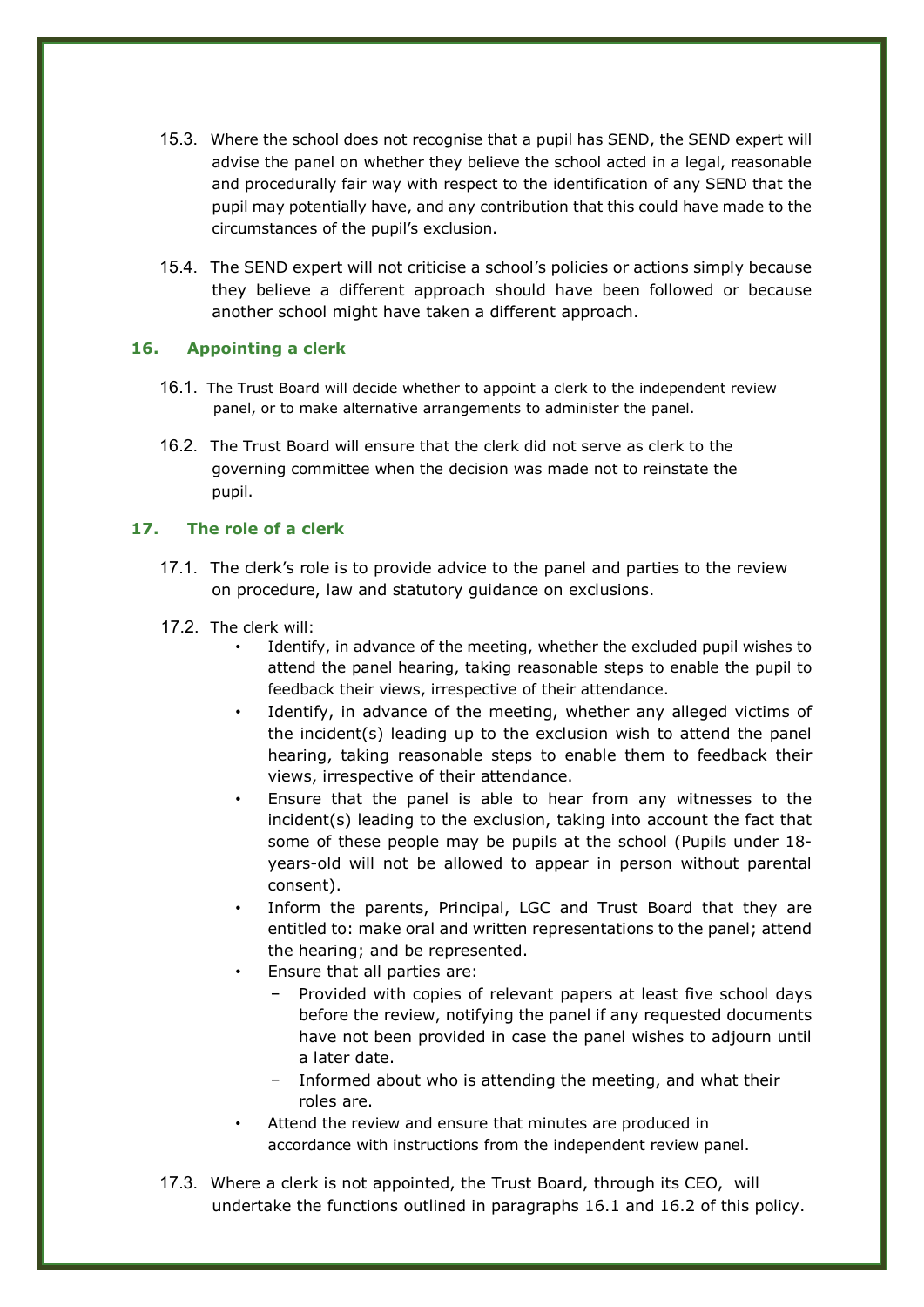- 15.3. Where the school does not recognise that a pupil has SEND, the SEND expert will advise the panel on whether they believe the school acted in a legal, reasonable and procedurally fair way with respect to the identification of any SEND that the pupil may potentially have, and any contribution that this could have made to the circumstances of the pupil's exclusion.
- 15.4. The SEND expert will not criticise a school's policies or actions simply because they believe a different approach should have been followed or because another school might have taken a different approach.

## **16. Appointing a clerk**

- 16.1. The Trust Board will decide whether to appoint a clerk to the independent review panel, or to make alternative arrangements to administer the panel.
- 16.2. The Trust Board will ensure that the clerk did not serve as clerk to the governing committee when the decision was made not to reinstate the pupil.

## **17. The role of a clerk**

- 17.1. The clerk's role is to provide advice to the panel and parties to the review on procedure, law and statutory guidance on exclusions.
- 17.2. The clerk will:
	- Identify, in advance of the meeting, whether the excluded pupil wishes to attend the panel hearing, taking reasonable steps to enable the pupil to feedback their views, irrespective of their attendance.
	- Identify, in advance of the meeting, whether any alleged victims of the incident(s) leading up to the exclusion wish to attend the panel hearing, taking reasonable steps to enable them to feedback their views, irrespective of their attendance.
	- Ensure that the panel is able to hear from any witnesses to the incident(s) leading to the exclusion, taking into account the fact that some of these people may be pupils at the school (Pupils under 18 years-old will not be allowed to appear in person without parental consent).
	- Inform the parents, Principal, LGC and Trust Board that they are entitled to: make oral and written representations to the panel; attend the hearing; and be represented.
	- Ensure that all parties are:
		- Provided with copies of relevant papers at least five school days before the review, notifying the panel if any requested documents have not been provided in case the panel wishes to adjourn until a later date.
		- − Informed about who is attending the meeting, and what their roles are.
	- Attend the review and ensure that minutes are produced in accordance with instructions from the independent review panel.
- 17.3. Where a clerk is not appointed, the Trust Board, through its CEO, will undertake the functions outlined in paragraphs 16.1 and 16.2 of this policy.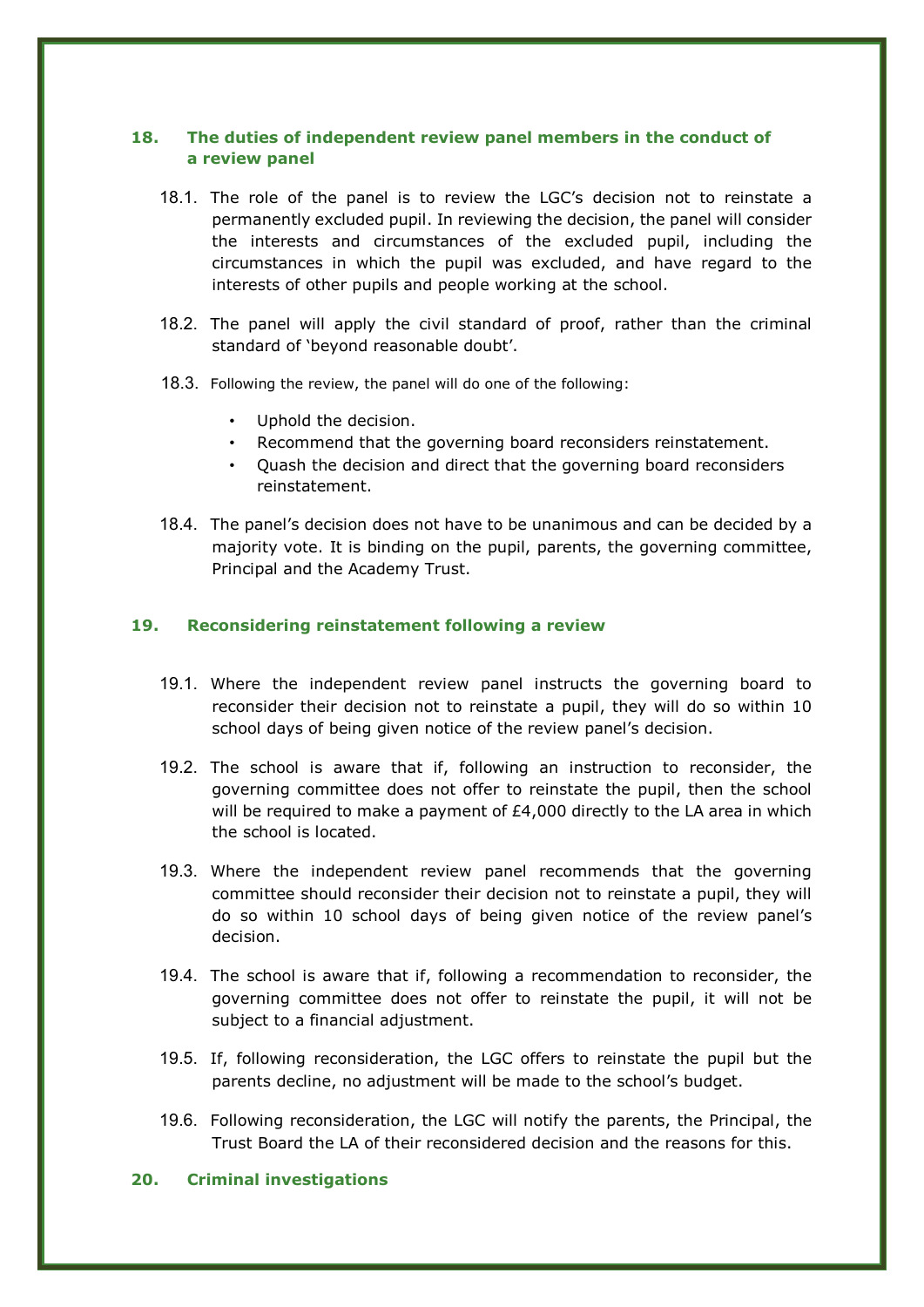# **18. The duties of independent review panel members in the conduct of a review panel**

- 18.1. The role of the panel is to review the LGC's decision not to reinstate a permanently excluded pupil. In reviewing the decision, the panel will consider the interests and circumstances of the excluded pupil, including the circumstances in which the pupil was excluded, and have regard to the interests of other pupils and people working at the school.
- 18.2. The panel will apply the civil standard of proof, rather than the criminal standard of 'beyond reasonable doubt'.
- 18.3. Following the review, the panel will do one of the following:
	- Uphold the decision.
	- Recommend that the governing board reconsiders reinstatement.
	- Quash the decision and direct that the governing board reconsiders reinstatement.
- 18.4. The panel's decision does not have to be unanimous and can be decided by a majority vote. It is binding on the pupil, parents, the governing committee, Principal and the Academy Trust.

## **19. Reconsidering reinstatement following a review**

- 19.1. Where the independent review panel instructs the governing board to reconsider their decision not to reinstate a pupil, they will do so within 10 school days of being given notice of the review panel's decision.
- 19.2. The school is aware that if, following an instruction to reconsider, the governing committee does not offer to reinstate the pupil, then the school will be required to make a payment of  $E4,000$  directly to the LA area in which the school is located.
- 19.3. Where the independent review panel recommends that the governing committee should reconsider their decision not to reinstate a pupil, they will do so within 10 school days of being given notice of the review panel's decision.
- 19.4. The school is aware that if, following a recommendation to reconsider, the governing committee does not offer to reinstate the pupil, it will not be subject to a financial adjustment.
- 19.5. If, following reconsideration, the LGC offers to reinstate the pupil but the parents decline, no adjustment will be made to the school's budget.
- 19.6. Following reconsideration, the LGC will notify the parents, the Principal, the Trust Board the LA of their reconsidered decision and the reasons for this.

#### **20. Criminal investigations**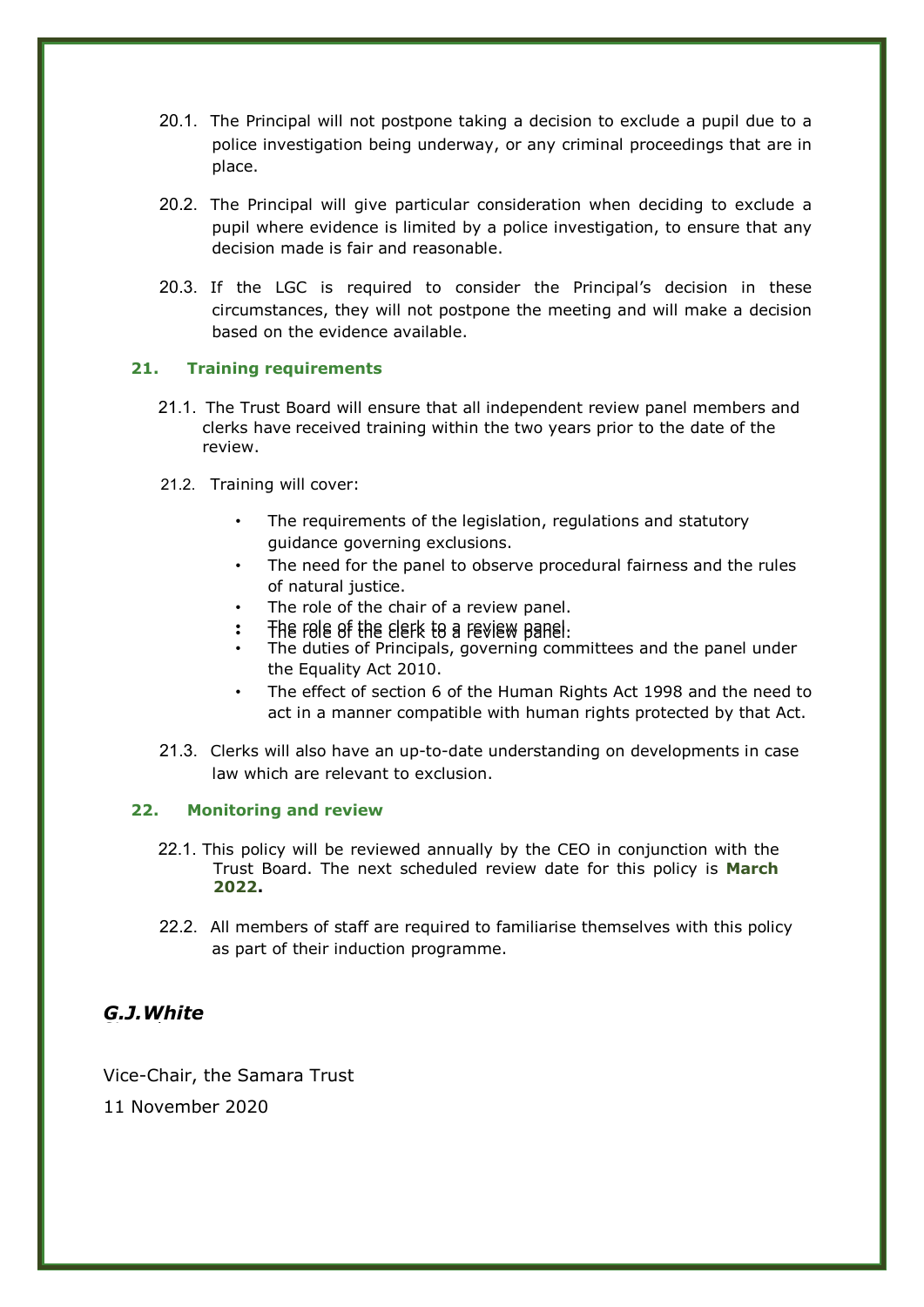- 20.1. The Principal will not postpone taking a decision to exclude a pupil due to a police investigation being underway, or any criminal proceedings that are in place.
- 20.2. The Principal will give particular consideration when deciding to exclude a pupil where evidence is limited by a police investigation, to ensure that any decision made is fair and reasonable.
- 20.3. If the LGC is required to consider the Principal's decision in these circumstances, they will not postpone the meeting and will make a decision based on the evidence available.

# **21. Training requirements**

- 21.1. The Trust Board will ensure that all independent review panel members and clerks have received training within the two years prior to the date of the review.
- 21.2. Training will cover:
	- The requirements of the legislation, regulations and statutory guidance governing exclusions.
	- The need for the panel to observe procedural fairness and the rules of natural justice.
	- The role of the chair of a review panel.
	- $\cdot$  The role of the clerk to a review panel.
	- The duties of Principals, governing committees and the panel under the Equality Act 2010.
	- The effect of section 6 of the Human Rights Act 1998 and the need to act in a manner compatible with human rights protected by that Act.
- 21.3. Clerks will also have an up-to-date understanding on developments in case law which are relevant to exclusion.

# **22. Monitoring and review**

- 22.1. This policy will be reviewed annually by the CEO in conjunction with the Trust Board. The next scheduled review date for this policy is **March 2022.**
- 22.2. All members of staff are required to familiarise themselves with this policy as part of their induction programme.

#### *G.J.White* Signed

Vice-Chair, the Samara Trust

11 November 2020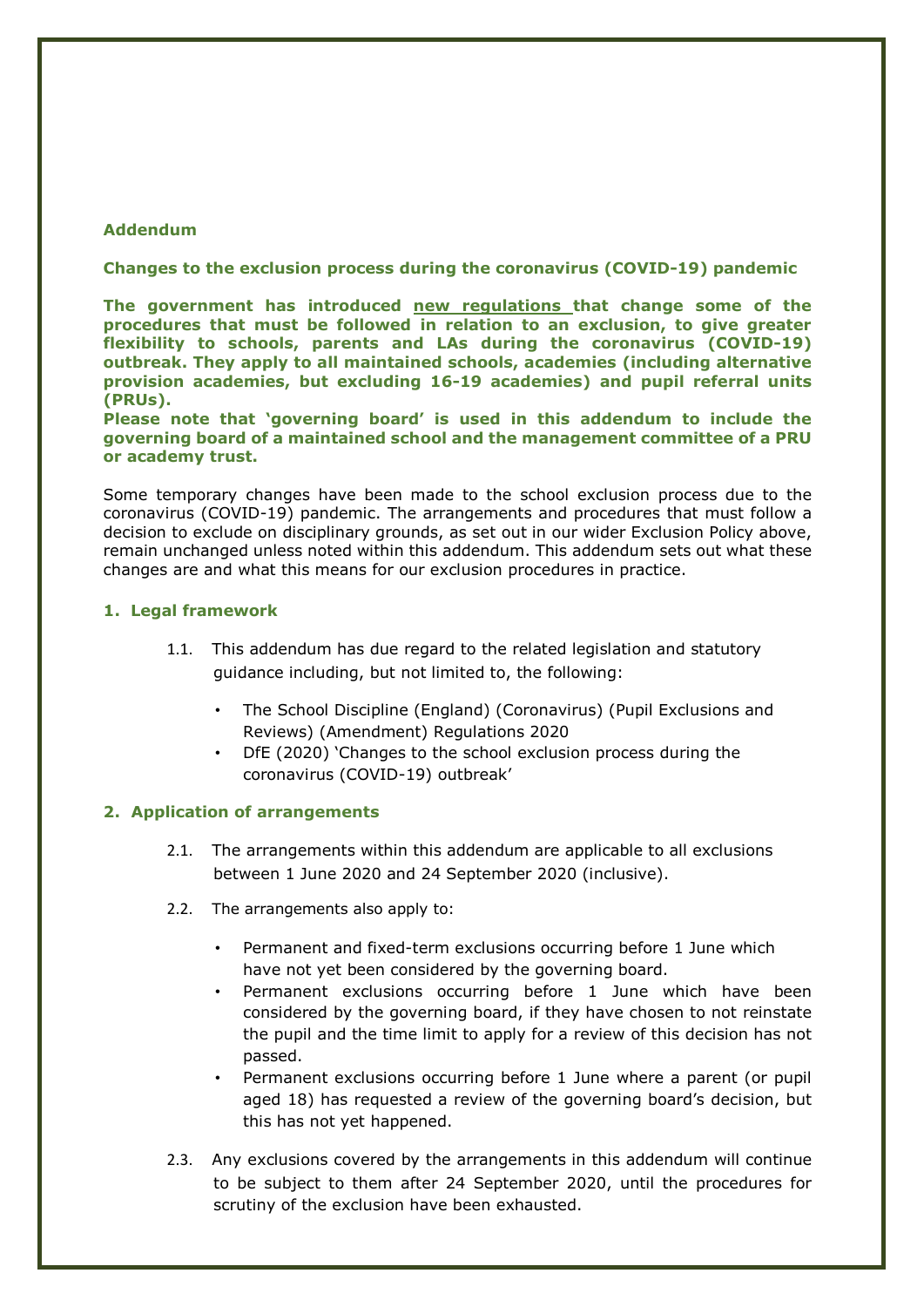#### **Addendum**

#### **Changes to the exclusion process during the coronavirus (COVID-19) pandemic**

**The government has introduced [new regulations t](http://www.legislation.gov.uk/uksi/2020/543/contents/made)hat change some of the procedures that must be followed in relation to an exclusion, to give greater flexibility to schools, parents and LAs during the coronavirus (COVID-19) outbreak. They apply to all maintained schools, academies (including alternative provision academies, but excluding 16-19 academies) and pupil referral units (PRUs).**

**Please note that 'governing board' is used in this addendum to include the governing board of a maintained school and the management committee of a PRU or academy trust.**

Some temporary changes have been made to the school exclusion process due to the coronavirus (COVID-19) pandemic. The arrangements and procedures that must follow a decision to exclude on disciplinary grounds, as set out in our wider Exclusion Policy above, remain unchanged unless noted within this addendum. This addendum sets out what these changes are and what this means for our exclusion procedures in practice.

#### **1. Legal framework**

- 1.1. This addendum has due regard to the related legislation and statutory guidance including, but not limited to, the following:
	- The School Discipline (England) (Coronavirus) (Pupil Exclusions and Reviews) (Amendment) Regulations 2020
	- DfE (2020) 'Changes to the school exclusion process during the coronavirus (COVID-19) outbreak'

#### **2. Application of arrangements**

- 2.1. The arrangements within this addendum are applicable to all exclusions between 1 June 2020 and 24 September 2020 (inclusive).
- 2.2. The arrangements also apply to:
	- Permanent and fixed-term exclusions occurring before 1 June which have not yet been considered by the governing board.
	- Permanent exclusions occurring before 1 June which have been considered by the governing board, if they have chosen to not reinstate the pupil and the time limit to apply for a review of this decision has not passed.
	- Permanent exclusions occurring before 1 June where a parent (or pupil aged 18) has requested a review of the governing board's decision, but this has not yet happened.
- 2.3. Any exclusions covered by the arrangements in this addendum will continue to be subject to them after 24 September 2020, until the procedures for scrutiny of the exclusion have been exhausted.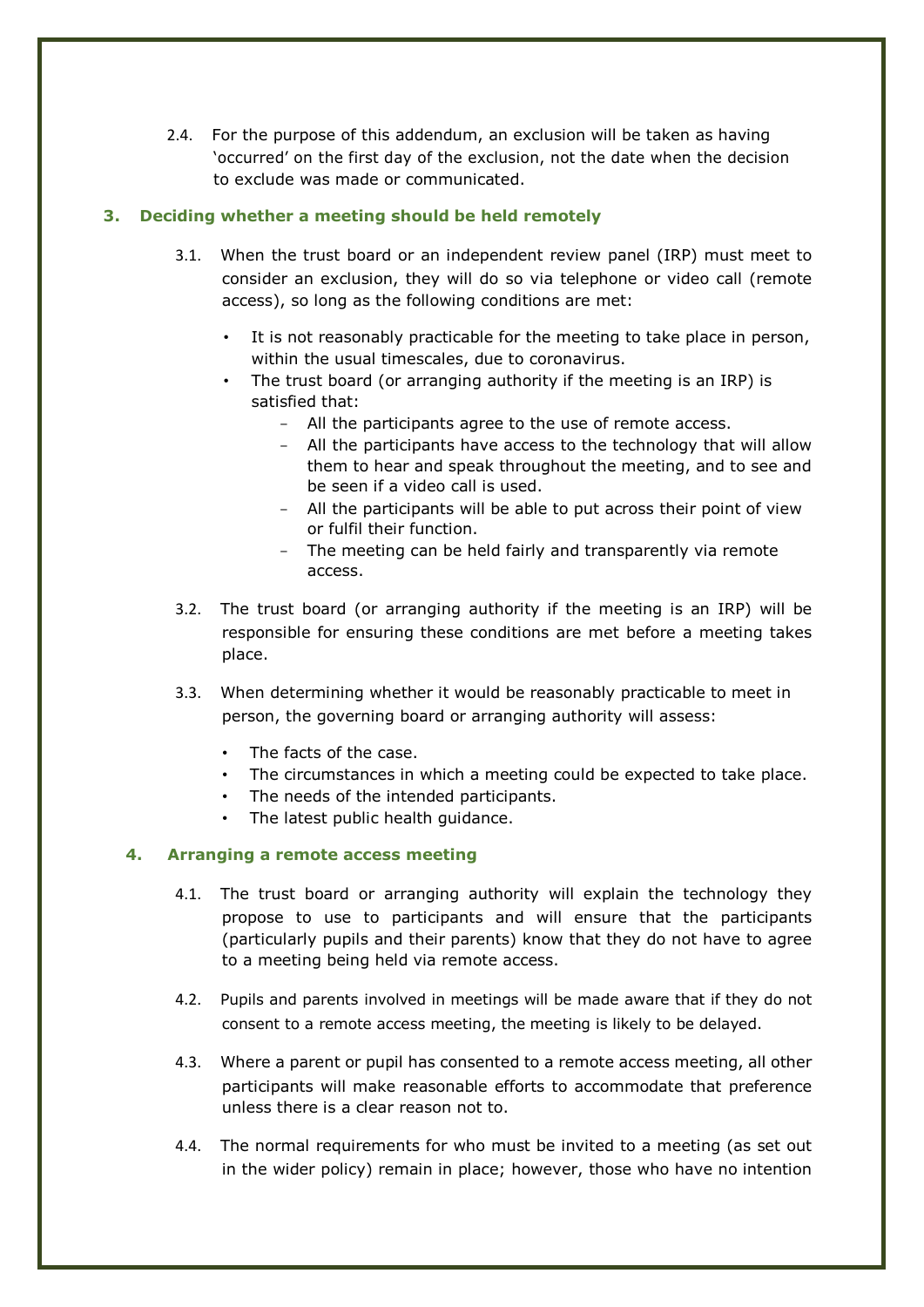2.4. For the purpose of this addendum, an exclusion will be taken as having 'occurred' on the first day of the exclusion, not the date when the decision to exclude was made or communicated.

# **3. Deciding whether a meeting should be held remotely**

- 3.1. When the trust board or an independent review panel (IRP) must meet to consider an exclusion, they will do so via telephone or video call (remote access), so long as the following conditions are met:
	- It is not reasonably practicable for the meeting to take place in person, within the usual timescales, due to coronavirus.
	- The trust board (or arranging authority if the meeting is an IRP) is satisfied that:
		- All the participants agree to the use of remote access.
		- All the participants have access to the technology that will allow them to hear and speak throughout the meeting, and to see and be seen if a video call is used.
		- All the participants will be able to put across their point of view or fulfil their function.
		- The meeting can be held fairly and transparently via remote access.
- 3.2. The trust board (or arranging authority if the meeting is an IRP) will be responsible for ensuring these conditions are met before a meeting takes place.
- 3.3. When determining whether it would be reasonably practicable to meet in person, the governing board or arranging authority will assess:
	- The facts of the case.
	- The circumstances in which a meeting could be expected to take place.
	- The needs of the intended participants.
	- The latest public health quidance.

#### **4. Arranging a remote access meeting**

- 4.1. The trust board or arranging authority will explain the technology they propose to use to participants and will ensure that the participants (particularly pupils and their parents) know that they do not have to agree to a meeting being held via remote access.
- 4.2. Pupils and parents involved in meetings will be made aware that if they do not consent to a remote access meeting, the meeting is likely to be delayed.
- 4.3. Where a parent or pupil has consented to a remote access meeting, all other participants will make reasonable efforts to accommodate that preference unless there is a clear reason not to.
- 4.4. The normal requirements for who must be invited to a meeting (as set out in the wider policy) remain in place; however, those who have no intention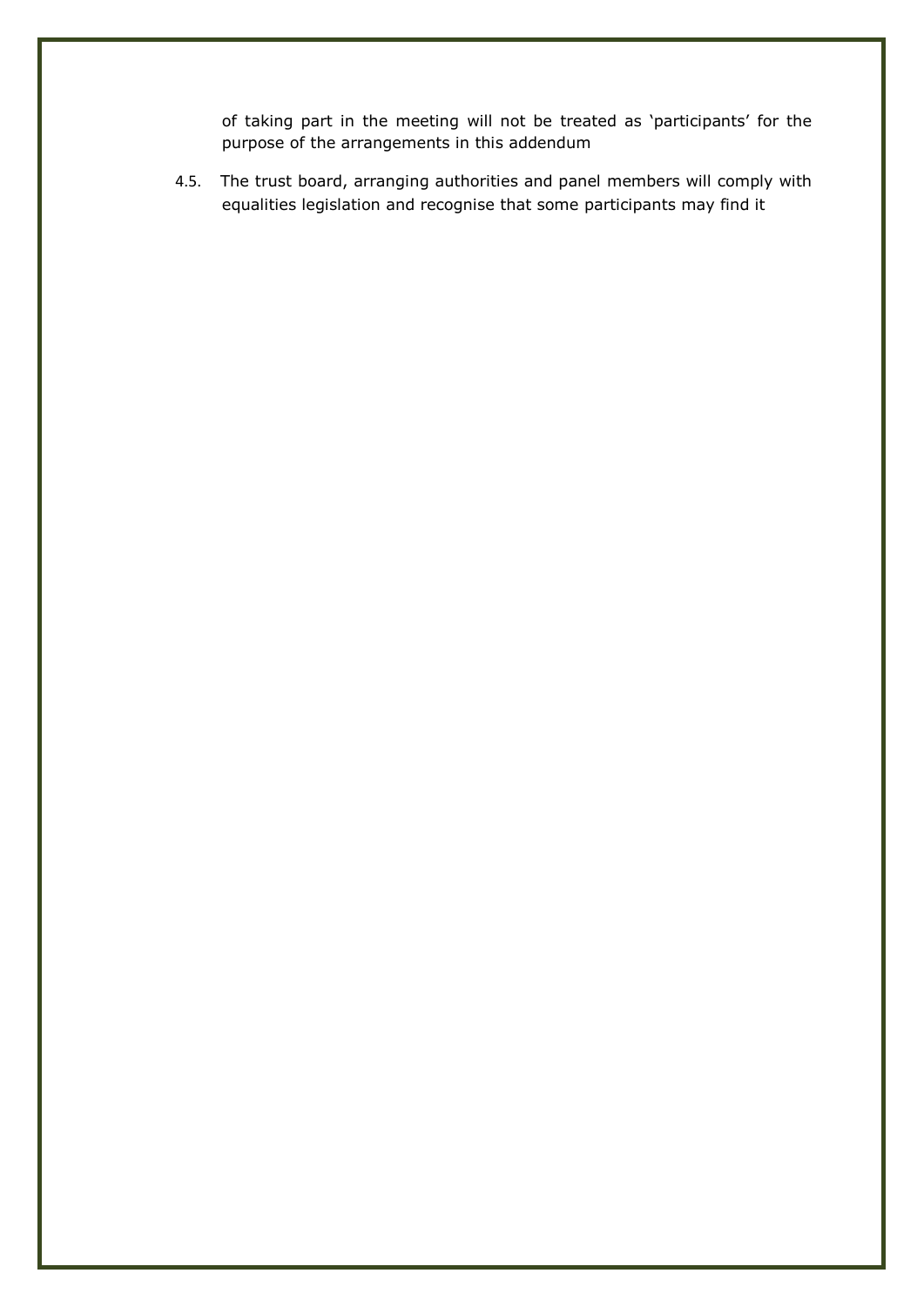of taking part in the meeting will not be treated as 'participants' for the purpose of the arrangements in this addendum

4.5. The trust board, arranging authorities and panel members will comply with equalities legislation and recognise that some participants may find it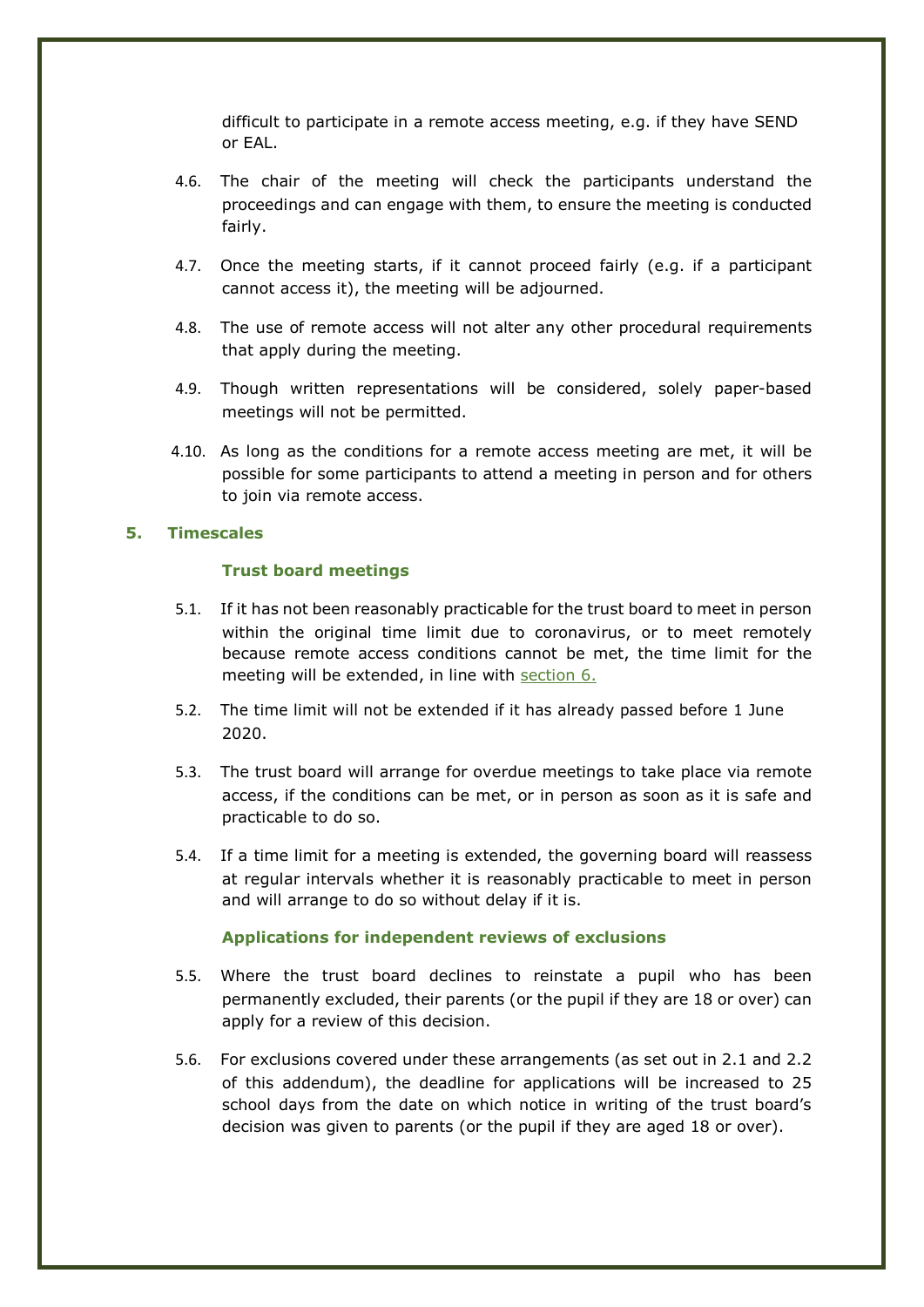difficult to participate in a remote access meeting, e.g. if they have SEND or EAL.

- 4.6. The chair of the meeting will check the participants understand the proceedings and can engage with them, to ensure the meeting is conducted fairly.
- 4.7. Once the meeting starts, if it cannot proceed fairly (e.g. if a participant cannot access it), the meeting will be adjourned.
- 4.8. The use of remote access will not alter any other procedural requirements that apply during the meeting.
- 4.9. Though written representations will be considered, solely paper-based meetings will not be permitted.
- 4.10. As long as the conditions for a remote access meeting are met, it will be possible for some participants to attend a meeting in person and for others to join via remote access.

#### **5. Timescales**

#### **Trust board meetings**

- 5.1. If it has not been reasonably practicable for the trust board to meet in person within the original time limit due to coronavirus, or to meet remotely because remote access conditions cannot be met, the time limit for the meeting will be extended, in line with section 6.
- 5.2. The time limit will not be extended if it has already passed before 1 June 2020.
- 5.3. The trust board will arrange for overdue meetings to take place via remote access, if the conditions can be met, or in person as soon as it is safe and practicable to do so.
- 5.4. If a time limit for a meeting is extended, the governing board will reassess at regular intervals whether it is reasonably practicable to meet in person and will arrange to do so without delay if it is.

#### **Applications for independent reviews of exclusions**

- 5.5. Where the trust board declines to reinstate a pupil who has been permanently excluded, their parents (or the pupil if they are 18 or over) can apply for a review of this decision.
- 5.6. For exclusions covered under these arrangements (as set out in 2.1 and 2.2 of this addendum), the deadline for applications will be increased to 25 school days from the date on which notice in writing of the trust board's decision was given to parents (or the pupil if they are aged 18 or over).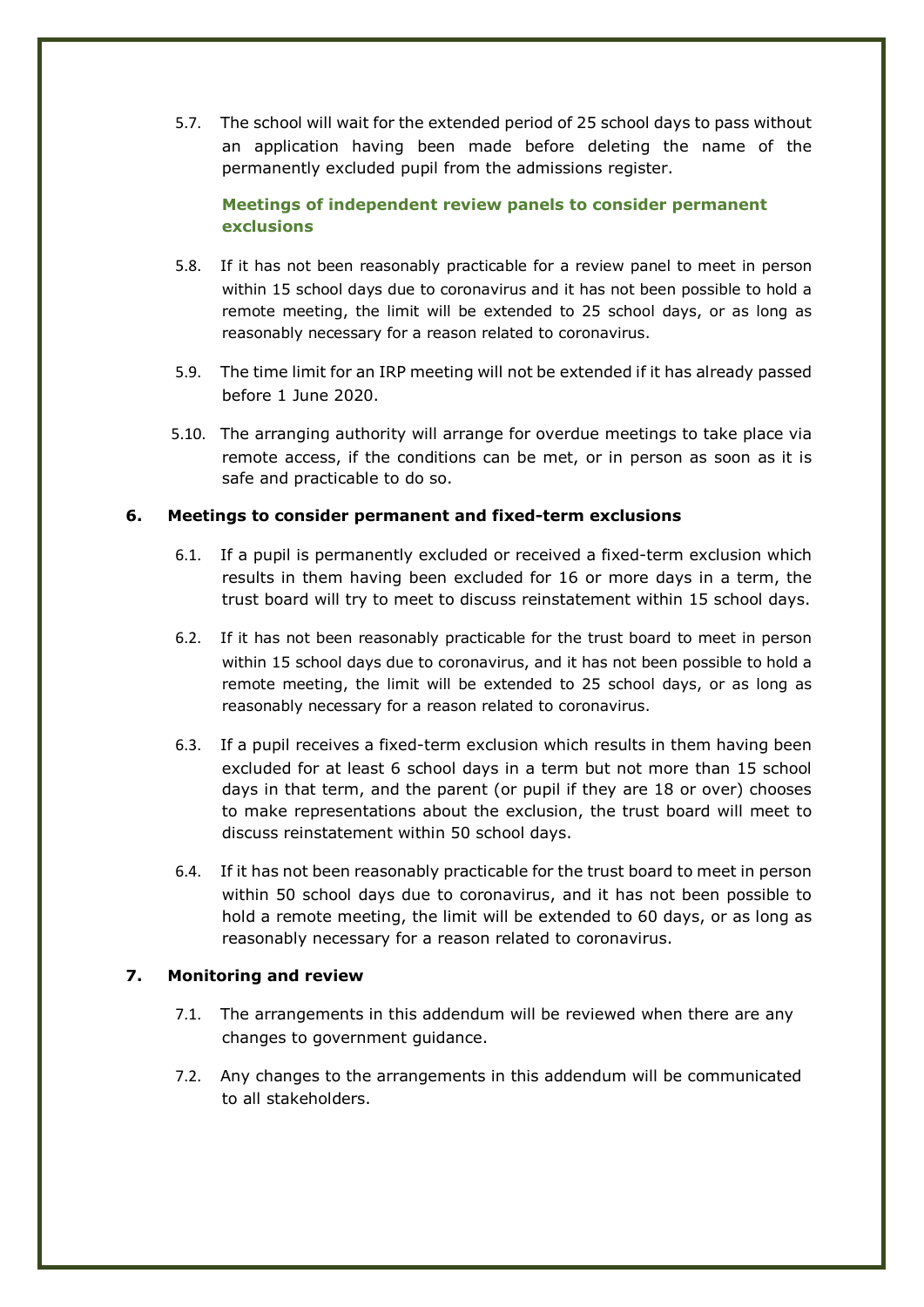5.7. The school will wait for the extended period of 25 school days to pass without an application having been made before deleting the name of the permanently excluded pupil from the admissions register.

# **Meetings of independent review panels to consider permanent exclusions**

- 5.8. If it has not been reasonably practicable for a review panel to meet in person within 15 school days due to coronavirus and it has not been possible to hold a remote meeting, the limit will be extended to 25 school days, or as long as reasonably necessary for a reason related to coronavirus.
- 5.9. The time limit for an IRP meeting will not be extended if it has already passed before 1 June 2020.
- 5.10. The arranging authority will arrange for overdue meetings to take place via remote access, if the conditions can be met, or in person as soon as it is safe and practicable to do so.

## **6. Meetings to consider permanent and fixed-term exclusions**

- 6.1. If a pupil is permanently excluded or received a fixed-term exclusion which results in them having been excluded for 16 or more days in a term, the trust board will try to meet to discuss reinstatement within 15 school days.
- 6.2. If it has not been reasonably practicable for the trust board to meet in person within 15 school days due to coronavirus, and it has not been possible to hold a remote meeting, the limit will be extended to 25 school days, or as long as reasonably necessary for a reason related to coronavirus.
- 6.3. If a pupil receives a fixed-term exclusion which results in them having been excluded for at least 6 school days in a term but not more than 15 school days in that term, and the parent (or pupil if they are 18 or over) chooses to make representations about the exclusion, the trust board will meet to discuss reinstatement within 50 school days.
- 6.4. If it has not been reasonably practicable for the trust board to meet in person within 50 school days due to coronavirus, and it has not been possible to hold a remote meeting, the limit will be extended to 60 days, or as long as reasonably necessary for a reason related to coronavirus.

#### **7. Monitoring and review**

- 7.1. The arrangements in this addendum will be reviewed when there are any changes to government guidance.
- 7.2. Any changes to the arrangements in this addendum will be communicated to all stakeholders.